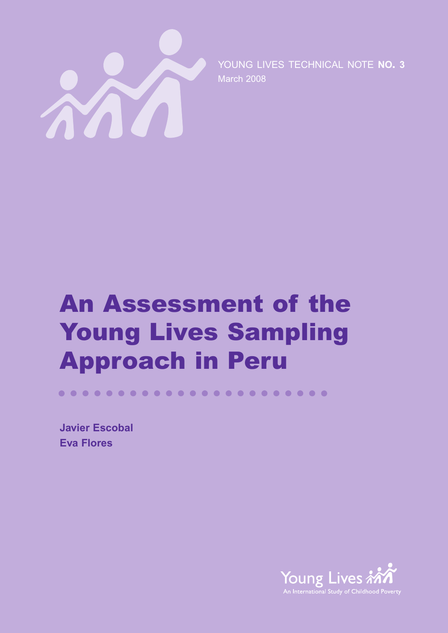

YOUNG LIVES TECHNICAL NOTE **NO. 3** March 2008

# **An Assessment of the Young Lives Sampling Approach in Peru**

**Javier Escobal Eva Flores**

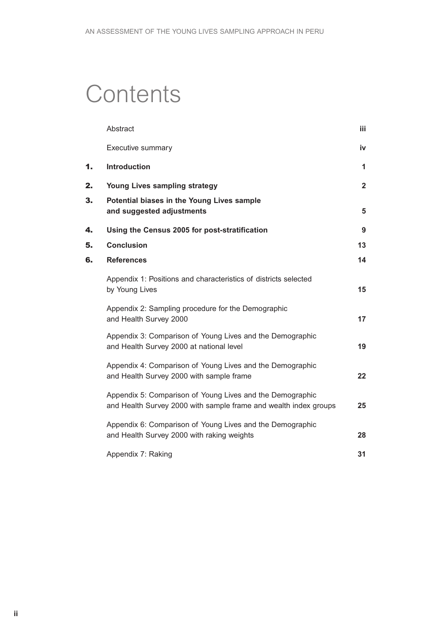## **Contents**

|    | Abstract                                                                                                                      | iii                     |
|----|-------------------------------------------------------------------------------------------------------------------------------|-------------------------|
|    | Executive summary                                                                                                             | iv                      |
| 1. | <b>Introduction</b>                                                                                                           | 1                       |
| 2. | <b>Young Lives sampling strategy</b>                                                                                          | $\overline{\mathbf{2}}$ |
| 3. | Potential biases in the Young Lives sample<br>and suggested adjustments                                                       | 5                       |
| 4. | Using the Census 2005 for post-stratification                                                                                 | 9                       |
| 5. | <b>Conclusion</b>                                                                                                             | 13                      |
| 6. | <b>References</b>                                                                                                             | 14                      |
|    | Appendix 1: Positions and characteristics of districts selected<br>by Young Lives                                             | 15                      |
|    | Appendix 2: Sampling procedure for the Demographic<br>and Health Survey 2000                                                  | 17                      |
|    | Appendix 3: Comparison of Young Lives and the Demographic<br>and Health Survey 2000 at national level                         | 19                      |
|    | Appendix 4: Comparison of Young Lives and the Demographic<br>and Health Survey 2000 with sample frame                         | 22                      |
|    | Appendix 5: Comparison of Young Lives and the Demographic<br>and Health Survey 2000 with sample frame and wealth index groups | 25                      |
|    | Appendix 6: Comparison of Young Lives and the Demographic<br>and Health Survey 2000 with raking weights                       | 28                      |
|    | Appendix 7: Raking                                                                                                            | 31                      |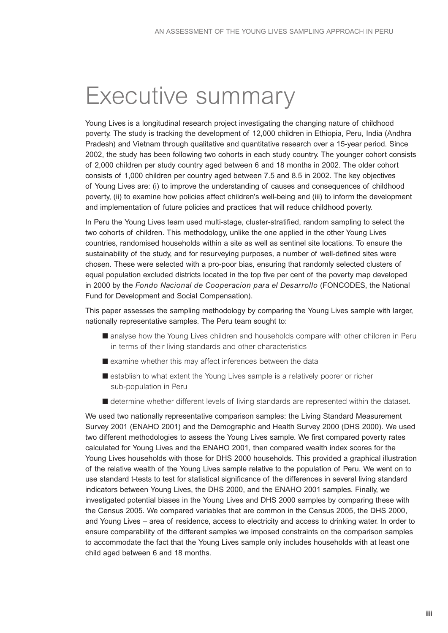## Executive summary

Young Lives is a longitudinal research project investigating the changing nature of childhood poverty. The study is tracking the development of 12,000 children in Ethiopia, Peru, India (Andhra Pradesh) and Vietnam through qualitative and quantitative research over a 15-year period. Since 2002, the study has been following two cohorts in each study country. The younger cohort consists of 2,000 children per study country aged between 6 and 18 months in 2002. The older cohort consists of 1,000 children per country aged between 7.5 and 8.5 in 2002. The key objectives of Young Lives are: (i) to improve the understanding of causes and consequences of childhood poverty, (ii) to examine how policies affect children's well-being and (iii) to inform the development and implementation of future policies and practices that will reduce childhood poverty.

In Peru the Young Lives team used multi-stage, cluster-stratified, random sampling to select the two cohorts of children. This methodology, unlike the one applied in the other Young Lives countries, randomised households within a site as well as sentinel site locations. To ensure the sustainability of the study, and for resurveying purposes, a number of well-defined sites were chosen. These were selected with a pro-poor bias, ensuring that randomly selected clusters of equal population excluded districts located in the top five per cent of the poverty map developed in 2000 by the *Fondo Nacional de Cooperacion para el Desarrollo* (FONCODES, the National Fund for Development and Social Compensation).

This paper assesses the sampling methodology by comparing the Young Lives sample with larger, nationally representative samples. The Peru team sought to:

- analyse how the Young Lives children and households compare with other children in Peru in terms of their living standards and other characteristics
- examine whether this may affect inferences between the data
- establish to what extent the Young Lives sample is a relatively poorer or richer sub-population in Peru
- determine whether different levels of living standards are represented within the dataset.

We used two nationally representative comparison samples: the Living Standard Measurement Survey 2001 (ENAHO 2001) and the Demographic and Health Survey 2000 (DHS 2000). We used two different methodologies to assess the Young Lives sample. We first compared poverty rates calculated for Young Lives and the ENAHO 2001, then compared wealth index scores for the Young Lives households with those for DHS 2000 households. This provided a graphical illustration of the relative wealth of the Young Lives sample relative to the population of Peru. We went on to use standard t-tests to test for statistical significance of the differences in several living standard indicators between Young Lives, the DHS 2000, and the ENAHO 2001 samples. Finally, we investigated potential biases in the Young Lives and DHS 2000 samples by comparing these with the Census 2005. We compared variables that are common in the Census 2005, the DHS 2000, and Young Lives – area of residence, access to electricity and access to drinking water. In order to ensure comparability of the different samples we imposed constraints on the comparison samples to accommodate the fact that the Young Lives sample only includes households with at least one child aged between 6 and 18 months.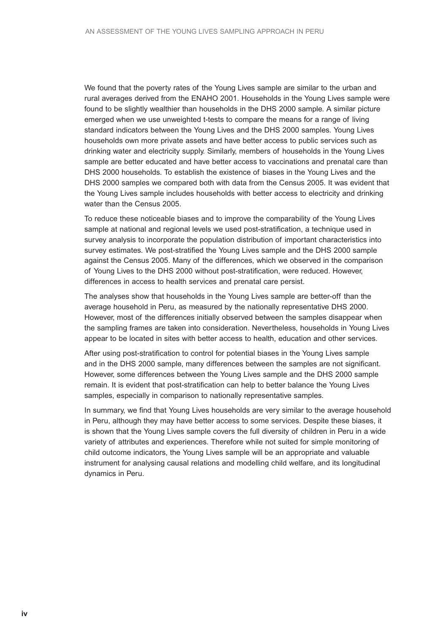We found that the poverty rates of the Young Lives sample are similar to the urban and rural averages derived from the ENAHO 2001. Households in the Young Lives sample were found to be slightly wealthier than households in the DHS 2000 sample. A similar picture emerged when we use unweighted t-tests to compare the means for a range of living standard indicators between the Young Lives and the DHS 2000 samples. Young Lives households own more private assets and have better access to public services such as drinking water and electricity supply. Similarly, members of households in the Young Lives sample are better educated and have better access to vaccinations and prenatal care than DHS 2000 households. To establish the existence of biases in the Young Lives and the DHS 2000 samples we compared both with data from the Census 2005. It was evident that the Young Lives sample includes households with better access to electricity and drinking water than the Census 2005.

To reduce these noticeable biases and to improve the comparability of the Young Lives sample at national and regional levels we used post-stratification, a technique used in survey analysis to incorporate the population distribution of important characteristics into survey estimates. We post-stratified the Young Lives sample and the DHS 2000 sample against the Census 2005. Many of the differences, which we observed in the comparison of Young Lives to the DHS 2000 without post-stratification, were reduced. However, differences in access to health services and prenatal care persist.

The analyses show that households in the Young Lives sample are better-off than the average household in Peru, as measured by the nationally representative DHS 2000. However, most of the differences initially observed between the samples disappear when the sampling frames are taken into consideration. Nevertheless, households in Young Lives appear to be located in sites with better access to health, education and other services.

After using post-stratification to control for potential biases in the Young Lives sample and in the DHS 2000 sample, many differences between the samples are not significant. However, some differences between the Young Lives sample and the DHS 2000 sample remain. It is evident that post-stratification can help to better balance the Young Lives samples, especially in comparison to nationally representative samples.

In summary, we find that Young Lives households are very similar to the average household in Peru, although they may have better access to some services. Despite these biases, it is shown that the Young Lives sample covers the full diversity of children in Peru in a wide variety of attributes and experiences. Therefore while not suited for simple monitoring of child outcome indicators, the Young Lives sample will be an appropriate and valuable instrument for analysing causal relations and modelling child welfare, and its longitudinal dynamics in Peru.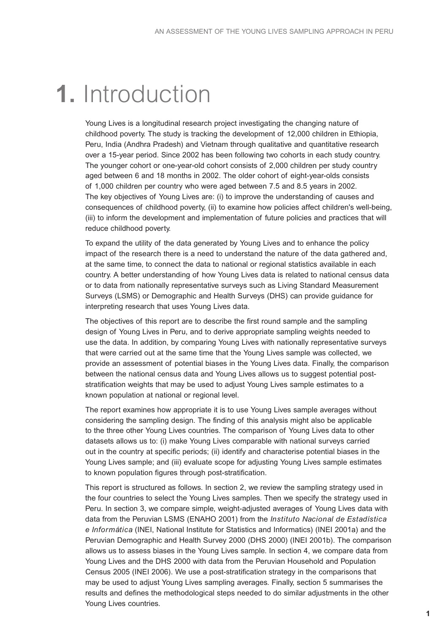## **1.** Introduction

Young Lives is a longitudinal research project investigating the changing nature of childhood poverty. The study is tracking the development of 12,000 children in Ethiopia, Peru, India (Andhra Pradesh) and Vietnam through qualitative and quantitative research over a 15-year period. Since 2002 has been following two cohorts in each study country. The younger cohort or one-year-old cohort consists of 2,000 children per study country aged between 6 and 18 months in 2002. The older cohort of eight-year-olds consists of 1,000 children per country who were aged between 7.5 and 8.5 years in 2002. The key objectives of Young Lives are: (i) to improve the understanding of causes and consequences of childhood poverty, (ii) to examine how policies affect children's well-being, (iii) to inform the development and implementation of future policies and practices that will reduce childhood poverty.

To expand the utility of the data generated by Young Lives and to enhance the policy impact of the research there is a need to understand the nature of the data gathered and, at the same time, to connect the data to national or regional statistics available in each country. A better understanding of how Young Lives data is related to national census data or to data from nationally representative surveys such as Living Standard Measurement Surveys (LSMS) or Demographic and Health Surveys (DHS) can provide guidance for interpreting research that uses Young Lives data.

The objectives of this report are to describe the first round sample and the sampling design of Young Lives in Peru, and to derive appropriate sampling weights needed to use the data. In addition, by comparing Young Lives with nationally representative surveys that were carried out at the same time that the Young Lives sample was collected, we provide an assessment of potential biases in the Young Lives data. Finally, the comparison between the national census data and Young Lives allows us to suggest potential poststratification weights that may be used to adjust Young Lives sample estimates to a known population at national or regional level.

The report examines how appropriate it is to use Young Lives sample averages without considering the sampling design. The finding of this analysis might also be applicable to the three other Young Lives countries. The comparison of Young Lives data to other datasets allows us to: (i) make Young Lives comparable with national surveys carried out in the country at specific periods; (ii) identify and characterise potential biases in the Young Lives sample; and (iii) evaluate scope for adjusting Young Lives sample estimates to known population figures through post-stratification.

This report is structured as follows. In section 2, we review the sampling strategy used in the four countries to select the Young Lives samples. Then we specify the strategy used in Peru. In section 3, we compare simple, weight-adjusted averages of Young Lives data with data from the Peruvian LSMS (ENAHO 2001) from the *Instituto Nacional de Estadística e Informática* (INEI, National Institute for Statistics and Informatics) (INEI 2001a) and the Peruvian Demographic and Health Survey 2000 (DHS 2000) (INEI 2001b). The comparison allows us to assess biases in the Young Lives sample. In section 4, we compare data from Young Lives and the DHS 2000 with data from the Peruvian Household and Population Census 2005 (INEI 2006). We use a post-stratification strategy in the comparisons that may be used to adjust Young Lives sampling averages. Finally, section 5 summarises the results and defines the methodological steps needed to do similar adjustments in the other Young Lives countries.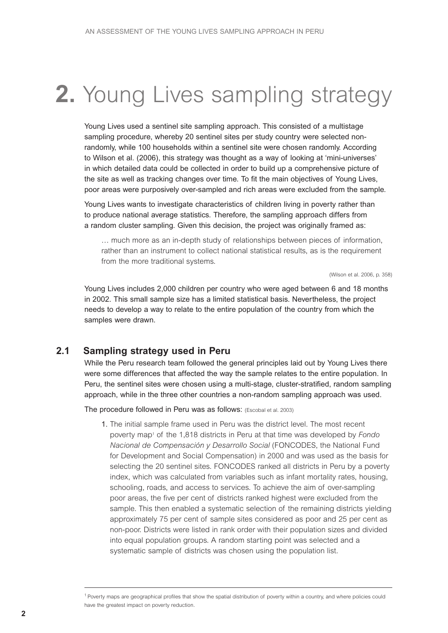## **2.** Young Lives sampling strategy

Young Lives used a sentinel site sampling approach. This consisted of a multistage sampling procedure, whereby 20 sentinel sites per study country were selected nonrandomly, while 100 households within a sentinel site were chosen randomly. According to Wilson et al. (2006), this strategy was thought as a way of looking at 'mini-universes' in which detailed data could be collected in order to build up a comprehensive picture of the site as well as tracking changes over time. To fit the main objectives of Young Lives, poor areas were purposively over-sampled and rich areas were excluded from the sample.

Young Lives wants to investigate characteristics of children living in poverty rather than to produce national average statistics. Therefore, the sampling approach differs from a random cluster sampling. Given this decision, the project was originally framed as:

… much more as an in-depth study of relationships between pieces of information, rather than an instrument to collect national statistical results, as is the requirement from the more traditional systems.

(Wilson et al. 2006, p. 358)

Young Lives includes 2,000 children per country who were aged between 6 and 18 months in 2002. This small sample size has a limited statistical basis. Nevertheless, the project needs to develop a way to relate to the entire population of the country from which the samples were drawn.

### **2.1 Sampling strategy used in Peru**

While the Peru research team followed the general principles laid out by Young Lives there were some differences that affected the way the sample relates to the entire population. In Peru, the sentinel sites were chosen using a multi-stage, cluster-stratified, random sampling approach, while in the three other countries a non-random sampling approach was used.

The procedure followed in Peru was as follows: (Escobal et al. 2003)

1. The initial sample frame used in Peru was the district level. The most recent poverty map1 of the 1,818 districts in Peru at that time was developed by *Fondo Nacional de Compensación y Desarrollo Social* (FONCODES, the National Fund for Development and Social Compensation) in 2000 and was used as the basis for selecting the 20 sentinel sites. FONCODES ranked all districts in Peru by a poverty index, which was calculated from variables such as infant mortality rates, housing, schooling, roads, and access to services. To achieve the aim of over-sampling poor areas, the five per cent of districts ranked highest were excluded from the sample. This then enabled a systematic selection of the remaining districts yielding approximately 75 per cent of sample sites considered as poor and 25 per cent as non-poor. Districts were listed in rank order with their population sizes and divided into equal population groups. A random starting point was selected and a systematic sample of districts was chosen using the population list.

<sup>1</sup> Poverty maps are geographical profiles that show the spatial distribution of poverty within a country, and where policies could have the greatest impact on poverty reduction.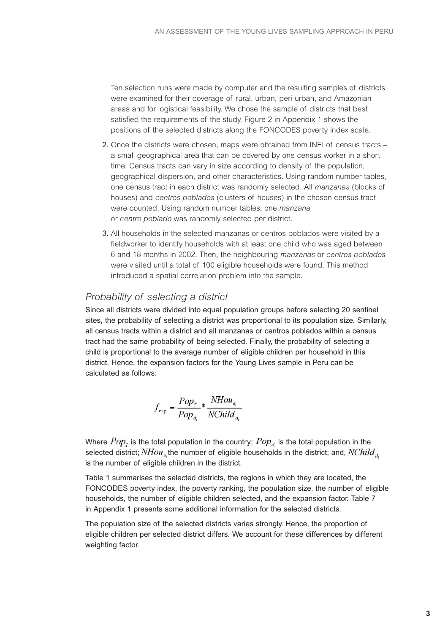Ten selection runs were made by computer and the resulting samples of districts were examined for their coverage of rural, urban, peri-urban, and Amazonian areas and for logistical feasibility. We chose the sample of districts that best satisfied the requirements of the study. Figure 2 in Appendix 1 shows the positions of the selected districts along the FONCODES poverty index scale.

- 2. Once the districts were chosen, maps were obtained from INEI of census tracts a small geographical area that can be covered by one census worker in a short time. Census tracts can vary in size according to density of the population, geographical dispersion, and other characteristics. Using random number tables, one census tract in each district was randomly selected. All *manzanas* (blocks of houses) and *centros poblados* (clusters of houses) in the chosen census tract were counted. Using random number tables, one *manzana* or *centro poblado* was randomly selected per district.
- 3. All households in the selected manzanas or centros poblados were visited by a fieldworker to identify households with at least one child who was aged between 6 and 18 months in 2002. Then, the neighbouring *manzanas* or *centros poblados* were visited until a total of 100 eligible households were found. This method introduced a spatial correlation problem into the sample.

### *Probability of selecting a district*

Since all districts were divided into equal population groups before selecting 20 sentinel sites, the probability of selecting a district was proportional to its population size. Similarly, all census tracts within a district and all manzanas or centros poblados within a census tract had the same probability of being selected. Finally, the probability of selecting a child is proportional to the average number of eligible children per household in this district. Hence, the expansion factors for the Young Lives sample in Peru can be calculated as follows:

$$
f_{\text{exp}} = \frac{Pop_{T}}{Pop_{d.}} * \frac{NHou_{e_i}}{NChild_{d.}}
$$

Where  $Pop_\tau$  is the total population in the country;  $Pop_{d_i}$  is the total population in the selected district;  $NHou_e$ , the number of eligible households in the district; and,  $NChild_d$ . is the number of eligible children in the district.

Table 1 summarises the selected districts, the regions in which they are located, the FONCODES poverty index, the poverty ranking, the population size, the number of eligible households, the number of eligible children selected, and the expansion factor. Table 7 in Appendix 1 presents some additional information for the selected districts.

The population size of the selected districts varies strongly. Hence, the proportion of eligible children per selected district differs. We account for these differences by different weighting factor.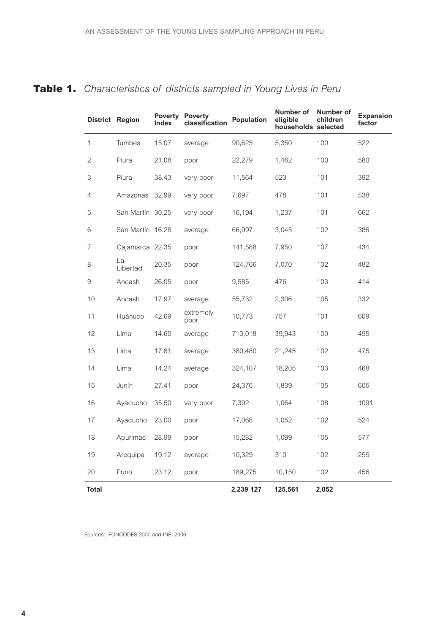|                           | District Region  | <b>Poverty</b><br><b>Index</b> | <b>Poverty</b><br>classification | Population | Number of<br>eligible<br>households selected | Number of<br>children | <b>Expansion</b><br>factor |
|---------------------------|------------------|--------------------------------|----------------------------------|------------|----------------------------------------------|-----------------------|----------------------------|
| 1                         | <b>Tumbes</b>    | 15.07                          | average                          | 90,625     | 5,350                                        | 100                   | 522                        |
| $\overline{2}$            | Piura            | 21.08                          | poor                             | 22,279     | 1,462                                        | 100                   | 580                        |
| $\ensuremath{\mathsf{3}}$ | Piura            | 38.43                          | very poor                        | 11,564     | 523                                          | 101                   | 392                        |
| $\overline{4}$            | Amazonas         | 32.99                          | very poor                        | 7,697      | 478                                          | 101                   | 538                        |
| 5                         | San Martín 30.25 |                                | very poor                        | 16,194     | 1,237                                        | 101                   | 662                        |
| 6                         | San Martín 16.28 |                                | average                          | 66,997     | 3,045                                        | 102                   | 386                        |
| $\overline{7}$            | Cajamarca 22.35  |                                | poor                             | 141,588    | 7,950                                        | 107                   | 434                        |
| $\,8\,$                   | La<br>Libertad   | 20.35                          | poor                             | 124,766    | 7,070                                        | 102                   | 482                        |
| $\mathcal{G}% _{0}$       | Ancash           | 26.05                          | poor                             | 9,585      | 476                                          | 103                   | 414                        |
| 10                        | Ancash           | 17.97                          | average                          | 55,732     | 2,306                                        | 105                   | 332                        |
| 11                        | Huánuco          | 42.69                          | extremely<br>poor                | 10,773     | 757                                          | 101                   | 609                        |
| 12                        | Lima             | 14.60                          | average                          | 713,018    | 39,943                                       | 100                   | 495                        |
| 13                        | Lima             | 17.81                          | average                          | 380,480    | 21,245                                       | 102                   | 475                        |
| 14                        | Lima             | 14.24                          | average                          | 324,107    | 18,205                                       | 103                   | 468                        |
| 15                        | Junín            | 27.41                          | poor                             | 24,376     | 1,839                                        | 105                   | 605                        |
| 16                        | Ayacucho         | 35.50                          | very poor                        | 7,392      | 1,064                                        | 108                   | 1091                       |
| 17                        | Ayacucho         | 23.00                          | poor                             | 17,068     | 1,052                                        | 102                   | 524                        |
| 18                        | Apurimac         | 28.99                          | poor                             | 15,282     | 1,099                                        | 105                   | 577                        |
| 19                        | Arequipa         | 19.12                          | average                          | 10,329     | 310                                          | 102                   | 255                        |
| 20                        | Puno             | 23.12                          | poor                             | 189,275    | 10,150                                       | 102                   | 456                        |
| <b>Total</b>              |                  |                                |                                  | 2,239 127  | 125,561                                      | 2,052                 |                            |

## **Table 1.** *Characteristics of districts sampled in Young Lives in Peru*

Sources: FONCODES 2000 and INEI 2006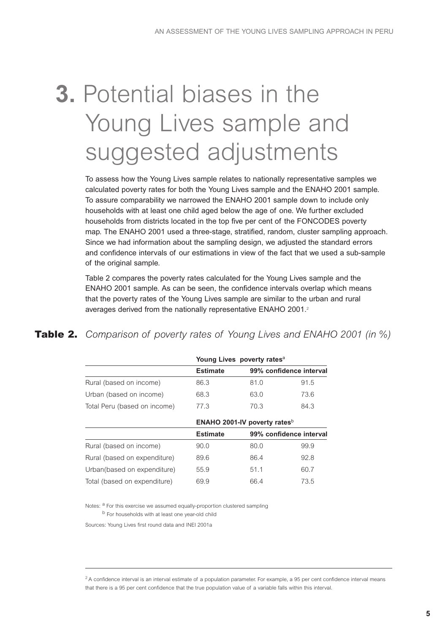# **3.** Potential biases in the Young Lives sample and suggested adjustments

To assess how the Young Lives sample relates to nationally representative samples we calculated poverty rates for both the Young Lives sample and the ENAHO 2001 sample. To assure comparability we narrowed the ENAHO 2001 sample down to include only households with at least one child aged below the age of one. We further excluded households from districts located in the top five per cent of the FONCODES poverty map. The ENAHO 2001 used a three-stage, stratified, random, cluster sampling approach. Since we had information about the sampling design, we adjusted the standard errors and confidence intervals of our estimations in view of the fact that we used a sub-sample of the original sample.

Table 2 compares the poverty rates calculated for the Young Lives sample and the ENAHO 2001 sample. As can be seen, the confidence intervals overlap which means that the poverty rates of the Young Lives sample are similar to the urban and rural averages derived from the nationally representative ENAHO 2001. 2

## **Table 2.** *Comparison of poverty rates of Young Lives and ENAHO 2001 (in %)*

|                              |                 | Young Lives poverty rates <sup>a</sup>   |                         |
|------------------------------|-----------------|------------------------------------------|-------------------------|
|                              | <b>Estimate</b> |                                          | 99% confidence interval |
| Rural (based on income)      | 86.3            | 81.0                                     | 91.5                    |
| Urban (based on income)      | 68.3            | 63.0                                     | 73.6                    |
| Total Peru (based on income) | 77.3            | 70.3                                     | 84.3                    |
|                              |                 | ENAHO 2001-IV poverty rates <sup>b</sup> |                         |
|                              | <b>Estimate</b> |                                          | 99% confidence interval |
| Rural (based on income)      | 90.0            | 80.0                                     | 99.9                    |
| Rural (based on expenditure) | 89.6            | 86.4                                     | 92.8                    |
| Urban(based on expenditure)  | 55.9            | 51.1                                     | 60.7                    |
| Total (based on expenditure) | 69.9            | 66.4                                     | 73.5                    |

Notes: <sup>a</sup> For this exercise we assumed equally-proportion clustered sampling

b For households with at least one year-old child

Sources: Young Lives first round data and INEI 2001a

 $2A$  confidence interval is an interval estimate of a population parameter. For example, a 95 per cent confidence interval means that there is a 95 per cent confidence that the true population value of a variable falls within this interval.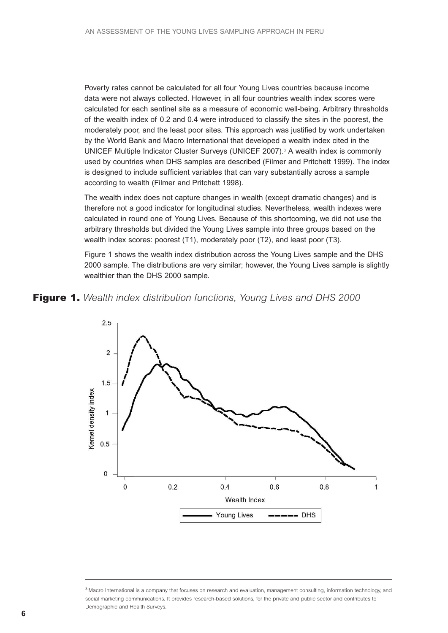Poverty rates cannot be calculated for all four Young Lives countries because income data were not always collected. However, in all four countries wealth index scores were calculated for each sentinel site as a measure of economic well-being. Arbitrary thresholds of the wealth index of 0.2 and 0.4 were introduced to classify the sites in the poorest, the moderately poor, and the least poor sites. This approach was justified by work undertaken by the World Bank and Macro International that developed a wealth index cited in the UNICEF Multiple Indicator Cluster Surveys (UNICEF 2007). <sup>3</sup> A wealth index is commonly used by countries when DHS samples are described (Filmer and Pritchett 1999). The index is designed to include sufficient variables that can vary substantially across a sample according to wealth (Filmer and Pritchett 1998).

The wealth index does not capture changes in wealth (except dramatic changes) and is therefore not a good indicator for longitudinal studies. Nevertheless, wealth indexes were calculated in round one of Young Lives. Because of this shortcoming, we did not use the arbitrary thresholds but divided the Young Lives sample into three groups based on the wealth index scores: poorest (T1), moderately poor (T2), and least poor (T3).

Figure 1 shows the wealth index distribution across the Young Lives sample and the DHS 2000 sample. The distributions are very similar; however, the Young Lives sample is slightly wealthier than the DHS 2000 sample.





<sup>&</sup>lt;sup>3</sup> Macro International is a company that focuses on research and evaluation, management consulting, information technology, and social marketing communications. It provides research-based solutions, for the private and public sector and contributes to Demographic and Health Surveys.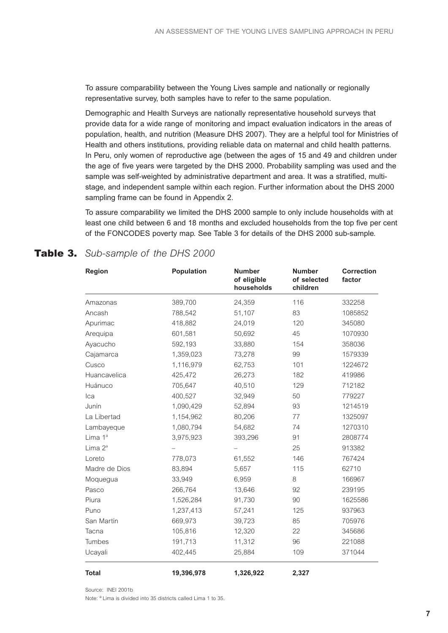To assure comparability between the Young Lives sample and nationally or regionally representative survey, both samples have to refer to the same population.

Demographic and Health Surveys are nationally representative household surveys that provide data for a wide range of monitoring and impact evaluation indicators in the areas of population, health, and nutrition (Measure DHS 2007). They are a helpful tool for Ministries of Health and others institutions, providing reliable data on maternal and child health patterns. In Peru, only women of reproductive age (between the ages of 15 and 49 and children under the age of five years were targeted by the DHS 2000. Probability sampling was used and the sample was self-weighted by administrative department and area. It was a stratified, multistage, and independent sample within each region. Further information about the DHS 2000 sampling frame can be found in Appendix 2.

To assure comparability we limited the DHS 2000 sample to only include households with at least one child between 6 and 18 months and excluded households from the top five per cent of the FONCODES poverty map. See Table 3 for details of the DHS 2000 sub-sample.

### **Table 3.** *Sub-sample of the DHS 2000*

| <b>Region</b>       | Population | <b>Number</b><br>of eligible<br>households | <b>Number</b><br>of selected<br>children | <b>Correction</b><br>factor |
|---------------------|------------|--------------------------------------------|------------------------------------------|-----------------------------|
| Amazonas            | 389,700    | 24,359                                     | 116                                      | 332258                      |
| Ancash              | 788,542    | 51,107                                     | 83                                       | 1085852                     |
| Apurimac            | 418,882    | 24,019                                     | 120                                      | 345080                      |
| Arequipa            | 601,581    | 50,692                                     | 45                                       | 1070930                     |
| Ayacucho            | 592,193    | 33,880                                     | 154                                      | 358036                      |
| Cajamarca           | 1,359,023  | 73,278                                     | 99                                       | 1579339                     |
| Cusco               | 1,116,979  | 62,753                                     | 101                                      | 1224672                     |
| Huancavelica        | 425,472    | 26,273                                     | 182                                      | 419986                      |
| Huánuco             | 705,647    | 40,510                                     | 129                                      | 712182                      |
| Ica                 | 400,527    | 32,949                                     | 50                                       | 779227                      |
| Junín               | 1,090,429  | 52,894                                     | 93                                       | 1214519                     |
| La Libertad         | 1,154,962  | 80,206                                     | 77                                       | 1325097                     |
| Lambayeque          | 1,080,794  | 54,682                                     | 74                                       | 1270310                     |
| Lima 1 <sup>ª</sup> | 3,975,923  | 393,296                                    | 91                                       | 2808774                     |
| Lima $2^a$          |            |                                            | 25                                       | 913382                      |
| Loreto              | 778,073    | 61,552                                     | 146                                      | 767424                      |
| Madre de Dios       | 83,894     | 5,657                                      | 115                                      | 62710                       |
| Moquegua            | 33,949     | 6,959                                      | 8                                        | 166967                      |
| Pasco               | 266,764    | 13,646                                     | 92                                       | 239195                      |
| Piura               | 1,526,284  | 91,730                                     | 90                                       | 1625586                     |
| Puno                | 1,237,413  | 57,241                                     | 125                                      | 937963                      |
| San Martín          | 669,973    | 39,723                                     | 85                                       | 705976                      |
| Tacna               | 105,816    | 12,320                                     | 22                                       | 345686                      |
| Tumbes              | 191,713    | 11,312                                     | 96                                       | 221088                      |
| Ucayali             | 402,445    | 25,884                                     | 109                                      | 371044                      |
| <b>Total</b>        | 19,396,978 | 1,326,922                                  | 2,327                                    |                             |

Source: INEL 2001b

Note: <sup>a</sup> Lima is divided into 35 districts called Lima 1 to 35.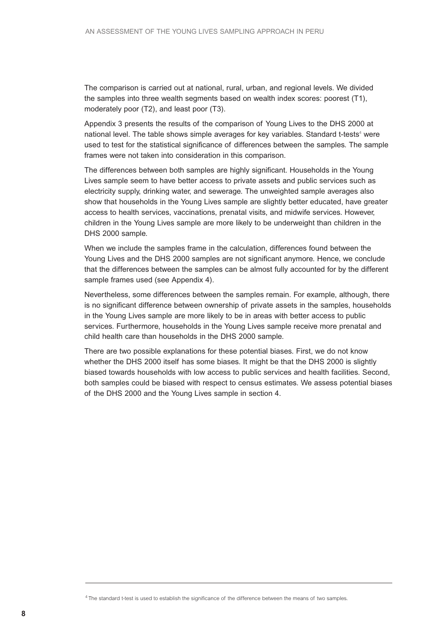The comparison is carried out at national, rural, urban, and regional levels. We divided the samples into three wealth segments based on wealth index scores: poorest (T1), moderately poor (T2), and least poor (T3).

Appendix 3 presents the results of the comparison of Young Lives to the DHS 2000 at national level. The table shows simple averages for key variables. Standard t-tests<sup>4</sup> were used to test for the statistical significance of differences between the samples. The sample frames were not taken into consideration in this comparison.

The differences between both samples are highly significant. Households in the Young Lives sample seem to have better access to private assets and public services such as electricity supply, drinking water, and sewerage. The unweighted sample averages also show that households in the Young Lives sample are slightly better educated, have greater access to health services, vaccinations, prenatal visits, and midwife services. However, children in the Young Lives sample are more likely to be underweight than children in the DHS 2000 sample.

When we include the samples frame in the calculation, differences found between the Young Lives and the DHS 2000 samples are not significant anymore. Hence, we conclude that the differences between the samples can be almost fully accounted for by the different sample frames used (see Appendix 4).

Nevertheless, some differences between the samples remain. For example, although, there is no significant difference between ownership of private assets in the samples, households in the Young Lives sample are more likely to be in areas with better access to public services. Furthermore, households in the Young Lives sample receive more prenatal and child health care than households in the DHS 2000 sample.

There are two possible explanations for these potential biases. First, we do not know whether the DHS 2000 itself has some biases. It might be that the DHS 2000 is slightly biased towards households with low access to public services and health facilities. Second, both samples could be biased with respect to census estimates. We assess potential biases of the DHS 2000 and the Young Lives sample in section 4.

<sup>&</sup>lt;sup>4</sup> The standard t-test is used to establish the significance of the difference between the means of two samples.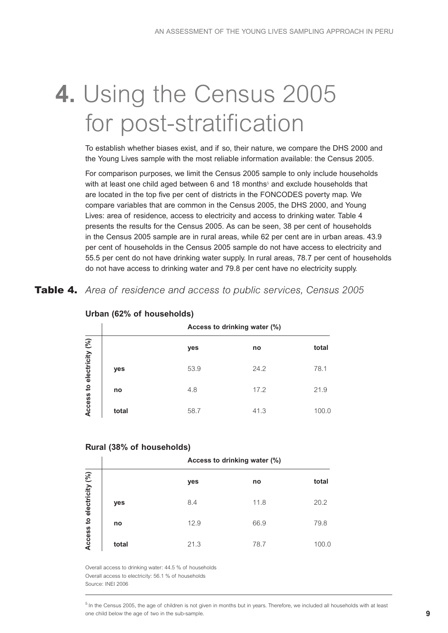# **4.** Using the Census 2005 for post-stratification

To establish whether biases exist, and if so, their nature, we compare the DHS 2000 and the Young Lives sample with the most reliable information available: the Census 2005.

For comparison purposes, we limit the Census 2005 sample to only include households with at least one child aged between 6 and 18 months<sup>5</sup> and exclude households that are located in the top five per cent of districts in the FONCODES poverty map. We compare variables that are common in the Census 2005, the DHS 2000, and Young Lives: area of residence, access to electricity and access to drinking water. Table 4 presents the results for the Census 2005. As can be seen, 38 per cent of households in the Census 2005 sample are in rural areas, while 62 per cent are in urban areas. 43.9 per cent of households in the Census 2005 sample do not have access to electricity and 55.5 per cent do not have drinking water supply. In rural areas, 78.7 per cent of households do not have access to drinking water and 79.8 per cent have no electricity supply.

**Table 4.** *Area of residence and access to public services, Census 2005*

|                 |       |      | Access to drinking water (%) |       |
|-----------------|-------|------|------------------------------|-------|
|                 |       | yes  | no                           | total |
| electricity (%) | yes   | 53.9 | 24.2                         | 78.1  |
| Access to       | no    | 4.8  | 17.2                         | 21.9  |
|                 | total | 58.7 | 41.3                         | 100.0 |

#### **Urban (62% of households)**

#### **Rural (38% of households)**

|                 |       |      | Access to drinking water (%) |       |
|-----------------|-------|------|------------------------------|-------|
|                 |       | yes  | no                           | total |
| electricity (%) | yes   | 8.4  | 11.8                         | 20.2  |
| $\mathbf{S}$    | no    | 12.9 | 66.9                         | 79.8  |
| Access          | total | 21.3 | 78.7                         | 100.0 |

Overall access to drinking water: 44.5 % of households Overall access to electricity: 56.1 % of households Source: INEI 2006

 $5$  In the Census 2005, the age of children is not given in months but in years. Therefore, we included all households with at least one child below the age of two in the sub-sample.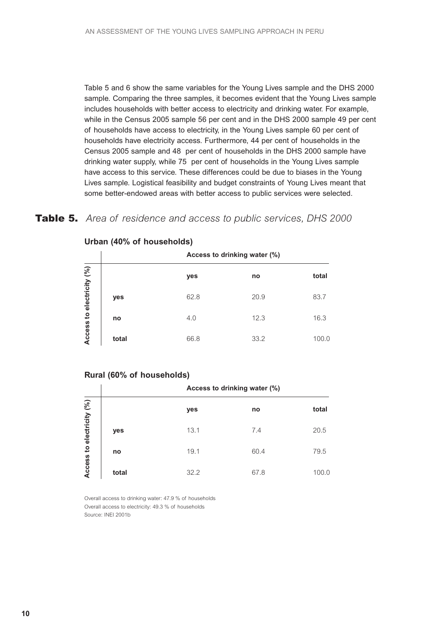Table 5 and 6 show the same variables for the Young Lives sample and the DHS 2000 sample. Comparing the three samples, it becomes evident that the Young Lives sample includes households with better access to electricity and drinking water. For example, while in the Census 2005 sample 56 per cent and in the DHS 2000 sample 49 per cent of households have access to electricity, in the Young Lives sample 60 per cent of households have electricity access. Furthermore, 44 per cent of households in the Census 2005 sample and 48 per cent of households in the DHS 2000 sample have drinking water supply, while 75 per cent of households in the Young Lives sample have access to this service. These differences could be due to biases in the Young Lives sample. Logistical feasibility and budget constraints of Young Lives meant that some better-endowed areas with better access to public services were selected.

#### **Table 5.** *Area of residence and access to public services, DHS 2000*

|                 |       |      | Access to drinking water (%) |       |
|-----------------|-------|------|------------------------------|-------|
| electricity (%) |       | yes  | no                           | total |
|                 | yes   | 62.8 | 20.9                         | 83.7  |
| $\mathbf{S}$    | no    | 4.0  | 12.3                         | 16.3  |
| Access          | total | 66.8 | 33.2                         | 100.0 |

#### **Urban (40% of households)**

#### **Rural (60% of households)**

|                 |       |      | Access to drinking water (%) |       |
|-----------------|-------|------|------------------------------|-------|
|                 |       | yes  | no                           | total |
| electricity (%) | yes   | 13.1 | 7.4                          | 20.5  |
| $\mathbf{S}$    | no    | 19.1 | 60.4                         | 79.5  |
| Access          | total | 32.2 | 67.8                         | 100.0 |

Overall access to drinking water: 47.9 % of households Overall access to electricity: 49.3 % of households Source: INEI 2001b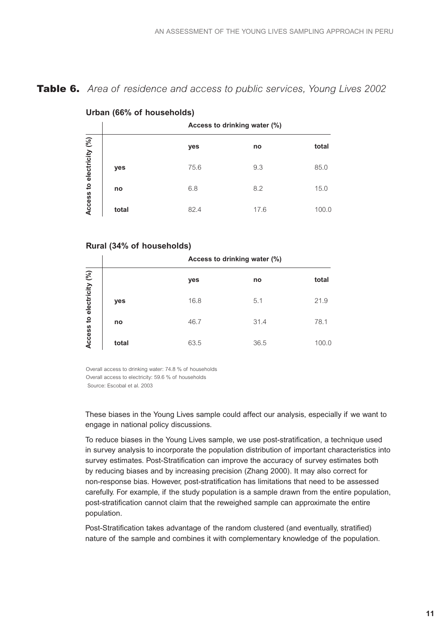### **Table 6.** *Area of residence and access to public services, Young Lives 2002*

|                 |       | .    |                              |       |
|-----------------|-------|------|------------------------------|-------|
|                 |       |      | Access to drinking water (%) |       |
|                 |       | yes  | no                           | total |
| electricity (%) | yes   | 75.6 | 9.3                          | 85.0  |
| $\mathbf{c}$    | no    | 6.8  | 8.2                          | 15.0  |
| Access          | total | 82.4 | 17.6                         | 100.0 |

#### **Urban (66% of households)**

#### **Rural (34% of households)**

|                 |       |      | Access to drinking water (%) |       |
|-----------------|-------|------|------------------------------|-------|
| electricity (%) |       | yes  | no                           | total |
|                 | yes   | 16.8 | 5.1                          | 21.9  |
| $\mathbf{S}$    | no    | 46.7 | 31.4                         | 78.1  |
| Access          | total | 63.5 | 36.5                         | 100.0 |

Overall access to drinking water: 74.8 % of households Overall access to electricity: 59.6 % of households

Source: Escobal et al. 2003

These biases in the Young Lives sample could affect our analysis, especially if we want to engage in national policy discussions.

To reduce biases in the Young Lives sample, we use post-stratification, a technique used in survey analysis to incorporate the population distribution of important characteristics into survey estimates. Post-Stratification can improve the accuracy of survey estimates both by reducing biases and by increasing precision (Zhang 2000). It may also correct for non-response bias. However, post-stratification has limitations that need to be assessed carefully. For example, if the study population is a sample drawn from the entire population, post-stratification cannot claim that the reweighed sample can approximate the entire population.

Post-Stratification takes advantage of the random clustered (and eventually, stratified) nature of the sample and combines it with complementary knowledge of the population.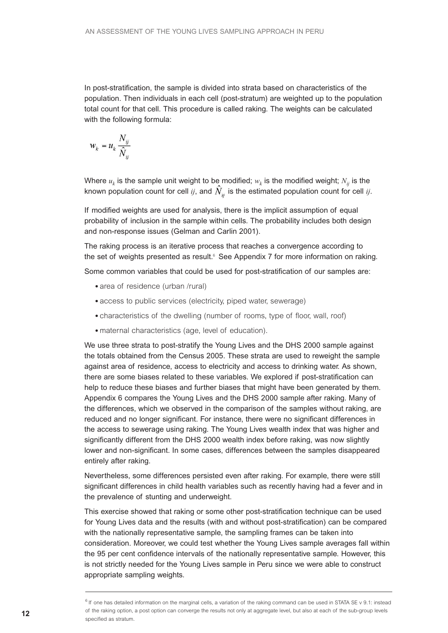In post-stratification, the sample is divided into strata based on characteristics of the population. Then individuals in each cell (post-stratum) are weighted up to the population total count for that cell. This procedure is called raking. The weights can be calculated with the following formula:

$$
w_k = u_k \frac{N_{ij}}{\hat{N}_{ij}}
$$

Where  $u_k$  is the sample unit weight to be modified;  $w_k$  is the modified weight;  $N_{ii}$  is the known population count for cell *ij*, and  $\hat{N}_{ii}$  is the estimated population count for cell *ij*.

If modified weights are used for analysis, there is the implicit assumption of equal probability of inclusion in the sample within cells. The probability includes both design and non-response issues (Gelman and Carlin 2001).

The raking process is an iterative process that reaches a convergence according to the set of weights presented as result. <sup>6</sup> See Appendix 7 for more information on raking.

Some common variables that could be used for post-stratification of our samples are:

- area of residence (urban /rural)
- access to public services (electricity, piped water, sewerage)
- characteristics of the dwelling (number of rooms, type of floor, wall, roof)
- maternal characteristics (age, level of education).

We use three strata to post-stratify the Young Lives and the DHS 2000 sample against the totals obtained from the Census 2005. These strata are used to reweight the sample against area of residence, access to electricity and access to drinking water. As shown, there are some biases related to these variables. We explored if post-stratification can help to reduce these biases and further biases that might have been generated by them. Appendix 6 compares the Young Lives and the DHS 2000 sample after raking. Many of the differences, which we observed in the comparison of the samples without raking, are reduced and no longer significant. For instance, there were no significant differences in the access to sewerage using raking. The Young Lives wealth index that was higher and significantly different from the DHS 2000 wealth index before raking, was now slightly lower and non-significant. In some cases, differences between the samples disappeared entirely after raking.

Nevertheless, some differences persisted even after raking. For example, there were still significant differences in child health variables such as recently having had a fever and in the prevalence of stunting and underweight.

This exercise showed that raking or some other post-stratification technique can be used for Young Lives data and the results (with and without post-stratification) can be compared with the nationally representative sample, the sampling frames can be taken into consideration. Moreover, we could test whether the Young Lives sample averages fall within the 95 per cent confidence intervals of the nationally representative sample. However, this is not strictly needed for the Young Lives sample in Peru since we were able to construct appropriate sampling weights.

<sup>&</sup>lt;sup>6</sup> If one has detailed information on the marginal cells, a variation of the raking command can be used in STATA SE v 9.1: instead of the raking option, a post option can converge the results not only at aggregate level, but also at each of the sub-group levels specified as stratum.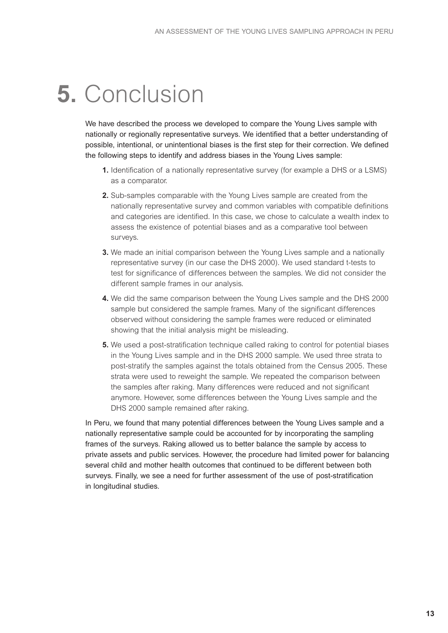# **5.** Conclusion

We have described the process we developed to compare the Young Lives sample with nationally or regionally representative surveys. We identified that a better understanding of possible, intentional, or unintentional biases is the first step for their correction. We defined the following steps to identify and address biases in the Young Lives sample:

- **1.** Identification of a nationally representative survey (for example a DHS or a LSMS) as a comparator.
- **2.** Sub-samples comparable with the Young Lives sample are created from the nationally representative survey and common variables with compatible definitions and categories are identified. In this case, we chose to calculate a wealth index to assess the existence of potential biases and as a comparative tool between surveys.
- **3.** We made an initial comparison between the Young Lives sample and a nationally representative survey (in our case the DHS 2000). We used standard t-tests to test for significance of differences between the samples. We did not consider the different sample frames in our analysis.
- **4.** We did the same comparison between the Young Lives sample and the DHS 2000 sample but considered the sample frames. Many of the significant differences observed without considering the sample frames were reduced or eliminated showing that the initial analysis might be misleading.
- **5.** We used a post-stratification technique called raking to control for potential biases in the Young Lives sample and in the DHS 2000 sample. We used three strata to post-stratify the samples against the totals obtained from the Census 2005. These strata were used to reweight the sample. We repeated the comparison between the samples after raking. Many differences were reduced and not significant anymore. However, some differences between the Young Lives sample and the DHS 2000 sample remained after raking.

In Peru, we found that many potential differences between the Young Lives sample and a nationally representative sample could be accounted for by incorporating the sampling frames of the surveys. Raking allowed us to better balance the sample by access to private assets and public services. However, the procedure had limited power for balancing several child and mother health outcomes that continued to be different between both surveys. Finally, we see a need for further assessment of the use of post-stratification in longitudinal studies.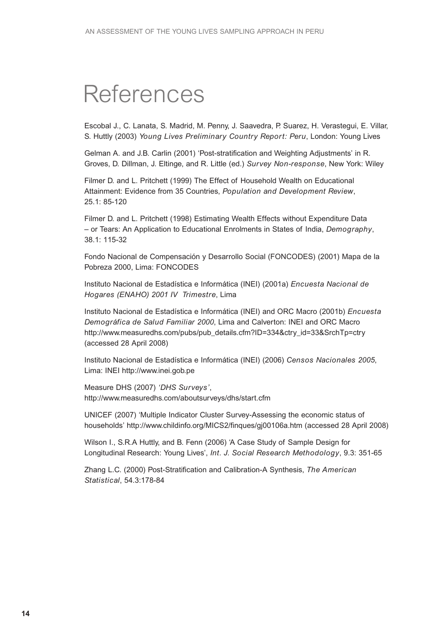## **5.** References

Escobal J., C. Lanata, S. Madrid, M. Penny, J. Saavedra, P. Suarez, H. Verastegui, E. Villar, S. Huttly (2003) *Young Lives Preliminary Country Report: Peru*, London: Young Lives

Gelman A. and J.B. Carlin (2001) 'Post-stratification and Weighting Adjustments' in R. Groves, D. Dillman, J. Eltinge, and R. Little (ed.) *Survey Non-response*, New York: Wiley

Filmer D. and L. Pritchett (1999) The Effect of Household Wealth on Educational Attainment: Evidence from 35 Countries, *Population and Development Review*, 25.1: 85-120

Filmer D. and L. Pritchett (1998) Estimating Wealth Effects without Expenditure Data – or Tears: An Application to Educational Enrolments in States of India, *Demography*, 38.1: 115-32

Fondo Nacional de Compensación y Desarrollo Social (FONCODES) (2001) Mapa de la Pobreza 2000, Lima: FONCODES

Instituto Nacional de Estadística e Informática (INEI) (2001a) *Encuesta Nacional de Hogares (ENAHO) 2001 IV Trimestre*, Lima

Instituto Nacional de Estadística e Informática (INEI) and ORC Macro (2001b) *Encuesta Demográfica de Salud Familiar 2000*, Lima and Calverton: INEI and ORC Macro http://www.measuredhs.com/pubs/pub\_details.cfm?ID=334&ctry\_id=33&SrchTp=ctry (accessed 28 April 2008)

Instituto Nacional de Estadística e Informática (INEI) (2006) *Censos Nacionales 2005*, Lima: INEI http://www.inei.gob.pe

Measure DHS (2007) *'DHS Surveys'*, http://www.measuredhs.com/aboutsurveys/dhs/start.cfm

UNICEF (2007) 'Multiple Indicator Cluster Survey-Assessing the economic status of households' http://www.childinfo.org/MICS2/finques/gj00106a.htm (accessed 28 April 2008)

Wilson I., S.R.A Huttly, and B. Fenn (2006) 'A Case Study of Sample Design for Longitudinal Research: Young Lives', *Int. J. Social Research Methodology*, 9.3: 351-65

Zhang L.C. (2000) Post-Stratification and Calibration-A Synthesis, *The American Statistical*, 54.3:178-84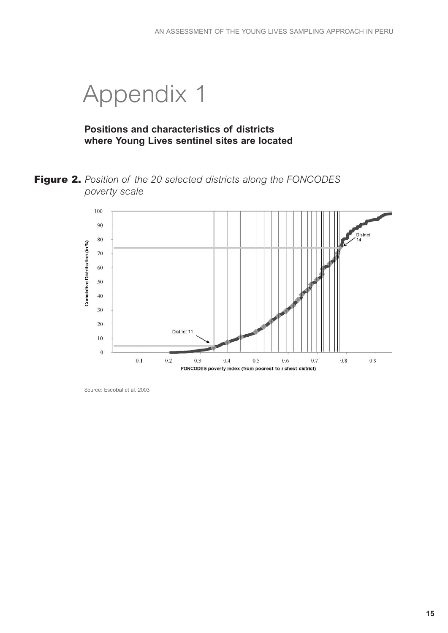## **6.** Appendix 1

### **Positions and characteristics of districts where Young Lives sentinel sites are located**

**Figure 2.** *Position of the 20 selected districts along the FONCODES poverty scale*



Source: Escobal et al. 2003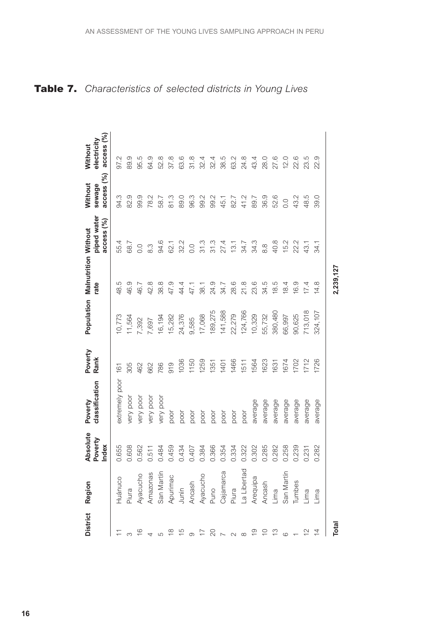|                | District Region                                         | <b>Absolute</b><br>Poverty | classification<br>Poverty | Poverty<br>Rank | Population | <b>Malnutrition Without</b><br>rate | piped water      | Without<br>sewage | electricity<br>Without |
|----------------|---------------------------------------------------------|----------------------------|---------------------------|-----------------|------------|-------------------------------------|------------------|-------------------|------------------------|
|                |                                                         | Index                      |                           |                 |            |                                     | access $(%)$     | access $(%)$      | access (%)             |
|                | Huánuco                                                 | 0.655                      | extremely poor            | 161             | 10,773     | 48.5                                | 55.4             | 94.3              | 97.2                   |
|                | Piura                                                   | 0.608                      | very poor                 | 305             | 11,564     | 46.9                                | 68.7             | 82.9              | 89.9                   |
|                |                                                         | 0.562                      | very poor                 | 462             | 7,392      | 46.7                                | 0.0              | 99.9              | 95.5                   |
|                |                                                         | 0.511                      | very poor                 | 662             | 7,697      | 42.8                                | 8.3              | 78.2              | 64.9                   |
|                | Ayacucho<br>Amazonas<br>San Martín<br>Apurimac<br>Junín | 0.484                      | very poor                 | 786             | 16,194     | 38.8                                | 94.6             | 58.7              | 52.8                   |
|                |                                                         | 0.459                      | poor                      | 919             | 15,282     | 47.9                                | 62.1             | 81.3              | 37.8                   |
|                |                                                         | 0.434                      | poor                      | 1036            | 24,376     | 44.4                                | 32.2             | 89.0              | 63.6                   |
|                |                                                         | 0.407                      | poor                      | 1150            | 9,585      | 47.1                                | $\overline{O}$ . | 96.3              | 31.8                   |
|                |                                                         | 0.384                      | poor                      | 1259            | 17,068     | 38.1                                | 31.3             | 99.2              | 32.4                   |
| $\overline{C}$ | Ancash<br>Ayacucho<br>Puno                              | 0.366                      | poor                      | 1351            | 189,275    | 24.9                                | 31.3             | 99.2              | 32.4                   |
|                |                                                         | 0.354                      | poor                      | 1401            | 141,588    | 34.7                                | 27.4             | 45.1              | 38.5                   |
|                | Cajamarca<br>Piura                                      | 0.334                      | poor                      | 1466            | 22,279     | 28.6                                | 13.1             | 82.7              | 63.2                   |
|                |                                                         | 0.322                      | poor                      | 1511            | 124,766    | 21.8                                | 34.7             | 41.2              | 24.8                   |
|                | La Libertad<br>Arequipa                                 | 0.302                      | average                   | 1564            | 10,329     | 23.6                                | 34.3             | 89.7              | 43.4                   |
|                | Ancash                                                  | 0.285                      | average                   | 1623            | 55,732     | 34.5                                | $8.\overline{8}$ | 36.9              | 28.0                   |
|                | $\lim_{h \to 0}$                                        | 0.282                      | average                   | 1631            | 380,480    | 18.5                                | 40.8             | 52.6              | 27.6                   |
|                |                                                         | 0.258                      | average                   | 1674            | 66,997     | 18.4                                | 15.2             | 0.0               | 12.0                   |
|                | San Martín<br>Tumbes<br>Lima                            | 0.239                      | average                   | 1702            | 90,625     | 16.9                                | 22.2             | 43.2              | 22.6                   |
|                |                                                         | 0.231                      | average                   | 1712            | 713,018    | 17.4                                | 43.1             | 48.5              | 23.5                   |
|                | $\overline{\text{Im}}$                                  | 0.282                      | average                   | 1726            | 324,107    | 14.8                                | 34.1             | 39.0              | တ<br>22.               |
| <b>Total</b>   |                                                         |                            |                           |                 |            | 2,239,127                           |                  |                   |                        |

## **Table 7.** *Characteristics of selected districts in Young Lives*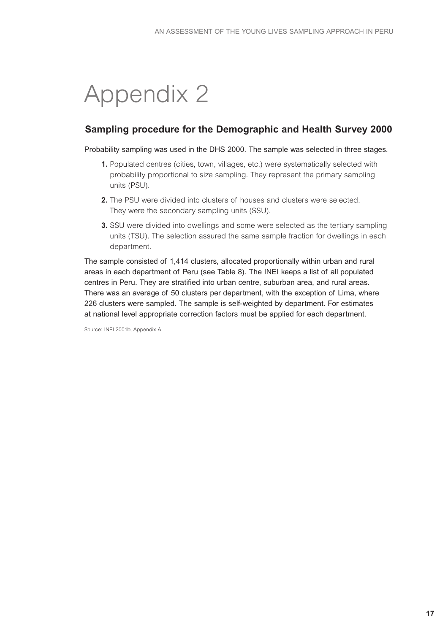# **6.** Appendix 2

## **Sampling procedure for the Demographic and Health Survey 2000**

#### Probability sampling was used in the DHS 2000. The sample was selected in three stages.

- **1.** Populated centres (cities, town, villages, etc.) were systematically selected with probability proportional to size sampling. They represent the primary sampling units (PSU).
- **2.** The PSU were divided into clusters of houses and clusters were selected. They were the secondary sampling units (SSU).
- **3.** SSU were divided into dwellings and some were selected as the tertiary sampling units (TSU). The selection assured the same sample fraction for dwellings in each department.

The sample consisted of 1,414 clusters, allocated proportionally within urban and rural areas in each department of Peru (see Table 8). The INEI keeps a list of all populated centres in Peru. They are stratified into urban centre, suburban area, and rural areas. There was an average of 50 clusters per department, with the exception of Lima, where 226 clusters were sampled. The sample is self-weighted by department. For estimates at national level appropriate correction factors must be applied for each department.

Source: INEI 2001b, Appendix A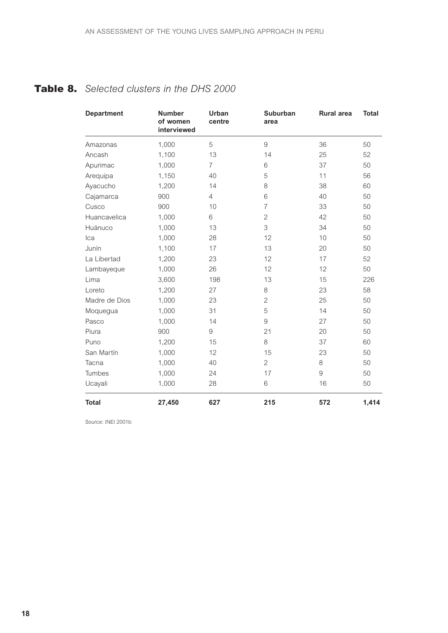## **Table 8.** *Selected clusters in the DHS 2000*

| <b>Department</b> | <b>Number</b><br>of women<br>interviewed | <b>Urban</b><br>centre | Suburban<br>area | <b>Rural area</b> | <b>Total</b> |
|-------------------|------------------------------------------|------------------------|------------------|-------------------|--------------|
| Amazonas          | 1,000                                    | 5                      | 9                | 36                | 50           |
| Ancash            | 1,100                                    | 13                     | 14               | 25                | 52           |
| Apurimac          | 1,000                                    | $\overline{7}$         | 6                | 37                | 50           |
| Arequipa          | 1,150                                    | 40                     | 5                | 11                | 56           |
| Ayacucho          | 1,200                                    | 14                     | 8                | 38                | 60           |
| Cajamarca         | 900                                      | $\overline{4}$         | 6                | 40                | 50           |
| Cusco             | 900                                      | 10                     | $\overline{7}$   | 33                | 50           |
| Huancavelica      | 1,000                                    | 6                      | $\overline{c}$   | 42                | 50           |
| Huánuco           | 1,000                                    | 13                     | 3                | 34                | 50           |
| Ica               | 1,000                                    | 28                     | 12               | 10                | 50           |
| Junín             | 1,100                                    | 17                     | 13               | 20                | 50           |
| La Libertad       | 1,200                                    | 23                     | 12               | 17                | 52           |
| Lambayeque        | 1,000                                    | 26                     | 12               | 12                | 50           |
| Lima              | 3,600                                    | 198                    | 13               | 15                | 226          |
| Loreto            | 1,200                                    | 27                     | 8                | 23                | 58           |
| Madre de Dios     | 1,000                                    | 23                     | $\overline{c}$   | 25                | 50           |
| Moquegua          | 1,000                                    | 31                     | 5                | 14                | 50           |
| Pasco             | 1,000                                    | 14                     | 9                | 27                | 50           |
| Piura             | 900                                      | 9                      | 21               | 20                | 50           |
| Puno              | 1,200                                    | 15                     | 8                | 37                | 60           |
| San Martín        | 1,000                                    | 12                     | 15               | 23                | 50           |
| Tacna             | 1,000                                    | 40                     | $\overline{2}$   | 8                 | 50           |
| Tumbes            | 1,000                                    | 24                     | 17               | 9                 | 50           |
| Ucayali           | 1,000                                    | 28                     | 6                | 16                | 50           |
| <b>Total</b>      | 27,450                                   | 627                    | 215              | 572               | 1,414        |

Source: INEI 2001b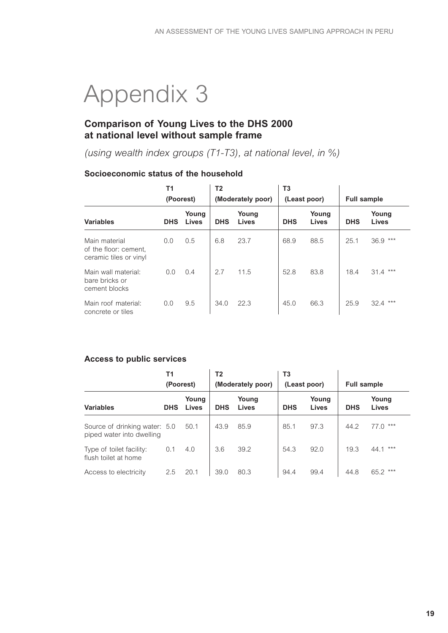# **6.** Appendix 3

## **Comparison of Young Lives to the DHS 2000 at national level without sample frame**

*(using wealth index groups (T1-T3), at national level, in %)*

#### **Socioeconomic status of the household**

|                                                                  | <b>T1</b><br>(Poorest) |                | T2         | (Moderately poor) | T3         | (Least poor)          | <b>Full sample</b> |                       |
|------------------------------------------------------------------|------------------------|----------------|------------|-------------------|------------|-----------------------|--------------------|-----------------------|
| <b>Variables</b>                                                 | <b>DHS</b>             | Young<br>Lives | <b>DHS</b> | Young<br>Lives    | <b>DHS</b> | Young<br><b>Lives</b> | <b>DHS</b>         | Young<br><b>Lives</b> |
| Main material<br>of the floor: cement,<br>ceramic tiles or vinyl | 0.0                    | 0.5            | 6.8        | 23.7              | 68.9       | 88.5                  | 25.1               | $36.9***$             |
| Main wall material:<br>bare bricks or<br>cement blocks           | 0.0                    | 0.4            | 2.7        | 11.5              | 52.8       | 83.8                  | 18.4               | $31.4***$             |
| Main roof material:<br>concrete or tiles                         | 0.0                    | 9.5            | 34.0       | 22.3              | 45.0       | 66.3                  | 25.9               | $32.4***$             |

#### **Access to public services**

|                                                            | Τ1<br>(Poorest) |                | Τ2<br>(Moderately poor) |                | T3<br>(Least poor) |                | <b>Full sample</b> |                       |
|------------------------------------------------------------|-----------------|----------------|-------------------------|----------------|--------------------|----------------|--------------------|-----------------------|
| <b>Variables</b>                                           | <b>DHS</b>      | Young<br>Lives | <b>DHS</b>              | Young<br>Lives | <b>DHS</b>         | Young<br>Lives | <b>DHS</b>         | Young<br><b>Lives</b> |
| Source of drinking water: 5.0<br>piped water into dwelling |                 | 50.1           | 43.9                    | 85.9           | 85.1               | 97.3           | 44.2               | ***<br>77.0           |
| Type of toilet facility:<br>flush toilet at home           | 0.1             | 4.0            | 3.6                     | 39.2           | 54.3               | 92.0           | 19.3               | ***<br>44.1           |
| Access to electricity                                      | 2.5             | 20.1           | 39.0                    | 80.3           | 94.4               | 99.4           | 44.8               | $65.2***$             |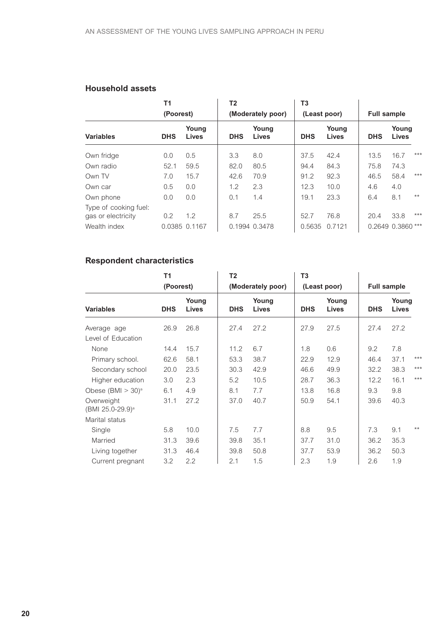#### **Household assets**

| <b>T1</b><br>(Poorest)                      |            | T <sub>2</sub> | (Moderately poor) |                       | T3<br>(Least poor) |                | <b>Full sample</b> |                   |       |
|---------------------------------------------|------------|----------------|-------------------|-----------------------|--------------------|----------------|--------------------|-------------------|-------|
| <b>Variables</b>                            | <b>DHS</b> | Young<br>Lives | <b>DHS</b>        | Young<br><b>Lives</b> | <b>DHS</b>         | Young<br>Lives | <b>DHS</b>         | Young<br>Lives    |       |
| Own fridge                                  | 0.0        | 0.5            | 3.3               | 8.0                   | 37.5               | 42.4           | 13.5               | 16.7              | $***$ |
| Own radio                                   | 52.1       | 59.5           | 82.0              | 80.5                  | 94.4               | 84.3           | 75.8               | 74.3              |       |
| Own TV                                      | 7.0        | 15.7           | 42.6              | 70.9                  | 91.2               | 92.3           | 46.5               | 58.4              | $***$ |
| Own car                                     | 0.5        | 0.0            | 1.2               | 2.3                   | 12.3               | 10.0           | 4.6                | 4.0               |       |
| Own phone                                   | 0.0        | 0.0            | 0.1               | 1.4                   | 19.1               | 23.3           | 6.4                | 8.1               | $***$ |
| Type of cooking fuel:<br>gas or electricity | 0.2        | 1.2            | 8.7               | 25.5                  | 52.7               | 76.8           | 20.4               | 33.8              | $***$ |
| Wealth index                                |            | 0.0385 0.1167  |                   | 0.1994 0.3478         | 0.5635             | 0.7121         |                    | 0.2649 0.3860 *** |       |

## **Respondent characteristics**

|                                            | <b>T1</b>  |                       | T <sub>2</sub> |                       | T <sub>3</sub> |                       |            |                       |       |
|--------------------------------------------|------------|-----------------------|----------------|-----------------------|----------------|-----------------------|------------|-----------------------|-------|
|                                            | (Poorest)  |                       |                | (Moderately poor)     |                | (Least poor)          |            | <b>Full sample</b>    |       |
| <b>Variables</b>                           | <b>DHS</b> | Young<br><b>Lives</b> | <b>DHS</b>     | Young<br><b>Lives</b> | <b>DHS</b>     | Young<br><b>Lives</b> | <b>DHS</b> | Young<br><b>Lives</b> |       |
| Average age                                | 26.9       | 26.8                  | 27.4           | 27.2                  | 27.9           | 27.5                  | 27.4       | 27.2                  |       |
| Level of Education                         |            |                       |                |                       |                |                       |            |                       |       |
| None                                       | 14.4       | 15.7                  | 11.2           | 6.7                   | 1.8            | 0.6                   | 9.2        | 7.8                   |       |
| Primary school.                            | 62.6       | 58.1                  | 53.3           | 38.7                  | 22.9           | 12.9                  | 46.4       | 37.1                  | $***$ |
| Secondary school                           | 20.0       | 23.5                  | 30.3           | 42.9                  | 46.6           | 49.9                  | 32.2       | 38.3                  | $***$ |
| Higher education                           | 3.0        | 2.3                   | 5.2            | 10.5                  | 28.7           | 36.3                  | 12.2       | 16.1                  | $***$ |
| Obese $(BMI > 30)^a$                       | 6.1        | 4.9                   | 8.1            | 7.7                   | 13.8           | 16.8                  | 9.3        | 9.8                   |       |
| Overweight<br>(BMI 25.0-29.9) <sup>a</sup> | 31.1       | 27.2                  | 37.0           | 40.7                  | 50.9           | 54.1                  | 39.6       | 40.3                  |       |
| Marital status                             |            |                       |                |                       |                |                       |            |                       |       |
| Single                                     | 5.8        | 10.0                  | 7.5            | 7.7                   | 8.8            | 9.5                   | 7.3        | 9.1                   | $**$  |
| Married                                    | 31.3       | 39.6                  | 39.8           | 35.1                  | 37.7           | 31.0                  | 36.2       | 35.3                  |       |
| Living together                            | 31.3       | 46.4                  | 39.8           | 50.8                  | 37.7           | 53.9                  | 36.2       | 50.3                  |       |
| Current pregnant                           | 3.2        | 2.2                   | 2.1            | 1.5                   | 2.3            | 1.9                   | 2.6        | 1.9                   |       |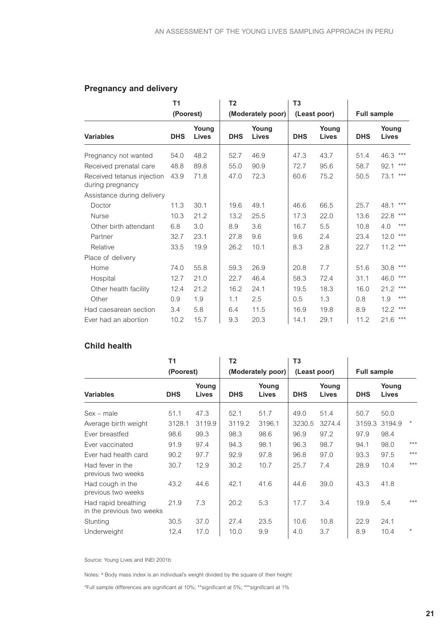## **Pregnancy and delivery**

|                                                | <b>T1</b>  |                | T <sub>2</sub> |                   | T <sub>3</sub> |                |                    |                       |
|------------------------------------------------|------------|----------------|----------------|-------------------|----------------|----------------|--------------------|-----------------------|
|                                                | (Poorest)  |                |                | (Moderately poor) |                | (Least poor)   | <b>Full sample</b> |                       |
| <b>Variables</b>                               | <b>DHS</b> | Young<br>Lives | <b>DHS</b>     | Young<br>Lives    | <b>DHS</b>     | Young<br>Lives | <b>DHS</b>         | Young<br><b>Lives</b> |
| Pregnancy not wanted                           | 54.0       | 48.2           | 52.7           | 46.9              | 47.3           | 43.7           | 51.4               | ***<br>46.3           |
| Received prenatal care                         | 48.8       | 89.8           | 55.0           | 90.9              | 72.7           | 95.6           | 58.7               | ***<br>92.1           |
| Received tetanus injection<br>during pregnancy | 43.9       | 71.8           | 47.0           | 72.3              | 60.6           | 75.2           | 50.5               | $***$<br>73.1         |
| Assistance during delivery                     |            |                |                |                   |                |                |                    |                       |
| Doctor                                         | 11.3       | 30.1           | 19.6           | 49.1              | 46.6           | 66.5           | 25.7               | ***<br>48.1           |
| <b>Nurse</b>                                   | 10.3       | 21.2           | 13.2           | 25.5              | 17.3           | 22.0           | 13.6               | $***$<br>22.8         |
| Other birth attendant                          | 6.8        | 3.0            | 8.9            | 3.6               | 16.7           | 5.5            | 10.8               | $***$<br>4.0          |
| Partner                                        | 32.7       | 23.1           | 27.8           | 9.6               | 9.6            | 2.4            | 23.4               | $***$<br>12.0         |
| Relative                                       | 33.5       | 19.9           | 26.2           | 10.1              | 8.3            | 2.8            | 22.7               | $***$<br>11.2         |
| Place of delivery                              |            |                |                |                   |                |                |                    |                       |
| Home                                           | 74.0       | 55.8           | 59.3           | 26.9              | 20.8           | 7.7            | 51.6               | $***$<br>30.8         |
| Hospital                                       | 12.7       | 21.0           | 22.7           | 46.4              | 58.3           | 72.4           | 31.1               | $***$<br>46.0         |
| Other health facility                          | 12.4       | 21.2           | 16.2           | 24.1              | 19.5           | 18.3           | 16.0               | $***$<br>21.2         |
| Other                                          | 0.9        | 1.9            | 1.1            | 2.5               | 0.5            | 1.3            | 0.8                | $***$<br>1.9          |
| Had caesarean section                          | 3.4        | 5.8            | 6.4            | 11.5              | 16.9           | 19.8           | 8.9                | ***<br>12.2           |
| Ever had an abortion                           | 10.2       | 15.7           | 9.3            | 20.3              | 14.1           | 29.1           | 11.2               | ***<br>21.6           |

#### **Child health**

|                                                  | T1         |                | T <sub>2</sub>    |                | T <sub>3</sub> |                |                    |                       |         |
|--------------------------------------------------|------------|----------------|-------------------|----------------|----------------|----------------|--------------------|-----------------------|---------|
| (Poorest)                                        |            |                | (Moderately poor) |                | (Least poor)   |                | <b>Full sample</b> |                       |         |
| <b>Variables</b>                                 | <b>DHS</b> | Young<br>Lives | <b>DHS</b>        | Young<br>Lives | <b>DHS</b>     | Young<br>Lives | <b>DHS</b>         | Young<br><b>Lives</b> |         |
| $Sex - male$                                     | 51.1       | 47.3           | 52.1              | 51.7           | 49.0           | 51.4           | 50.7               | 50.0                  |         |
| Average birth weight                             | 3128.1     | 3119.9         | 3119.2            | 3196.1         | 3230.5         | 3274.4         | 3159.3             | 3194.9                | $\star$ |
| Ever breastfed                                   | 98.6       | 99.3           | 98.3              | 98.6           | 96.9           | 97.2           | 97.9               | 98.4                  |         |
| Ever vaccinated                                  | 91.9       | 97.4           | 94.3              | 98.1           | 96.3           | 98.7           | 94.1               | 98.0                  | $***$   |
| Ever had health card                             | 90.2       | 97.7           | 92.9              | 97.8           | 96.8           | 97.0           | 93.3               | 97.5                  | $***$   |
| Had fever in the<br>previous two weeks           | 30.7       | 12.9           | 30.2              | 10.7           | 25.7           | 7.4            | 28.9               | 10.4                  | $***$   |
| Had cough in the<br>previous two weeks           | 43.2       | 44.6           | 42.1              | 41.6           | 44.6           | 39.0           | 43.3               | 41.8                  |         |
| Had rapid breathing<br>in the previous two weeks | 21.9       | 7.3            | 20.2              | 5.3            | 17.7           | 3.4            | 19.9               | 5.4                   | $***$   |
| Stunting                                         | 30.5       | 37.0           | 27.4              | 23.5           | 10.6           | 10.8           | 22.9               | 24.1                  |         |
| <b>Underweight</b>                               | 12.4       | 17.0           | 10.0              | 9.9            | 4.0            | 3.7            | 8.9                | 10.4                  | $\star$ |

Source: Young Lives and INEI 2001b

Notes: <sup>a</sup> Body mass index is an individual's weight divided by the square of their height

\*Full sample differences are significant at 10%; \*\*significant at 5%; \*\*\*significant at 1%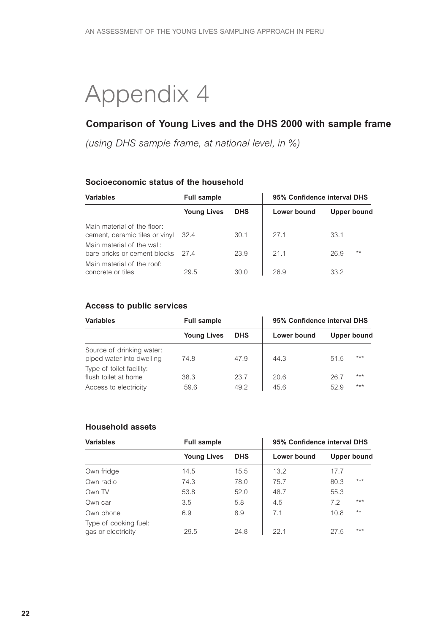## **6.** Appendix 4

## **Comparison of Young Lives and the DHS 2000 with sample frame**

*(using DHS sample frame, at national level, in %)*

#### **Socioeconomic status of the household**

| <b>Variables</b>                                                   | <b>Full sample</b> |            | 95% Confidence interval DHS |               |  |  |
|--------------------------------------------------------------------|--------------------|------------|-----------------------------|---------------|--|--|
|                                                                    | <b>Young Lives</b> | <b>DHS</b> | Lower bound                 | Upper bound   |  |  |
| Main material of the floor:<br>cement, ceramic tiles or vinyl 32.4 |                    | 30.1       | 27.1                        | 33.1          |  |  |
| Main material of the wall:<br>bare bricks or cement blocks         | - 274              | 23.9       | 21.1                        | $***$<br>26.9 |  |  |
| Main material of the roof:<br>concrete or tiles                    | 29.5               | 30.0       | 26.9                        | 33.2          |  |  |

#### **Access to public services**

| <b>Variables</b>                                                          | <b>Full sample</b> |              | 95% Confidence interval DHS |              |             |  |
|---------------------------------------------------------------------------|--------------------|--------------|-----------------------------|--------------|-------------|--|
|                                                                           | <b>Young Lives</b> | <b>DHS</b>   | Lower bound                 |              | Upper bound |  |
| Source of drinking water:<br>piped water into dwelling                    | 74.8               | 47.9         | 44.3                        | 51.5         | $***$       |  |
| Type of toilet facility:<br>flush toilet at home<br>Access to electricity | 38.3<br>59.6       | 23.7<br>49.2 | 20.6<br>45.6                | 26.7<br>52.9 | ***<br>***  |  |

#### **Household assets**

| <b>Variables</b>                            | <b>Full sample</b> |            | 95% Confidence interval DHS |             |       |  |
|---------------------------------------------|--------------------|------------|-----------------------------|-------------|-------|--|
|                                             | <b>Young Lives</b> | <b>DHS</b> | Lower bound                 | Upper bound |       |  |
| Own fridge                                  | 14.5               | 15.5       | 13.2                        | 17.7        |       |  |
| Own radio                                   | 74.3               | 78.0       | 75.7                        | 80.3        | ***   |  |
| Own TV                                      | 53.8               | 52.0       | 48.7                        | 55.3        |       |  |
| Own car                                     | 3.5                | 5.8        | 4.5                         | 7.2         | ***   |  |
| Own phone                                   | 6.9                | 8.9        | 7.1                         | 10.8        | $***$ |  |
| Type of cooking fuel:<br>gas or electricity | 29.5               | 24.8       | 22.1                        | 27.5        | ***   |  |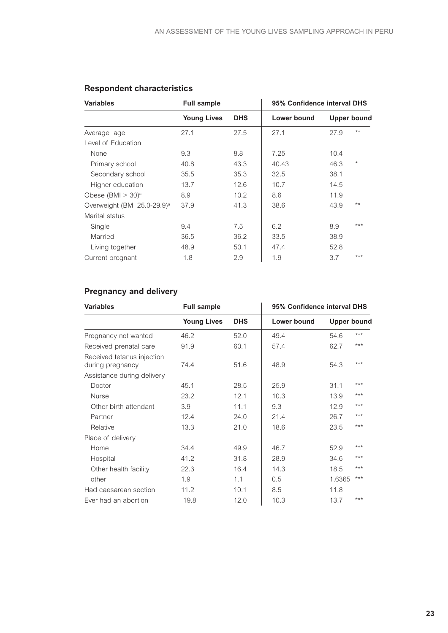| <b>Variables</b>                        | <b>Full sample</b> |                   | 95% Confidence interval DHS |      |             |  |
|-----------------------------------------|--------------------|-------------------|-----------------------------|------|-------------|--|
|                                         | <b>Young Lives</b> | <b>DHS</b>        | Lower bound                 |      | Upper bound |  |
| Average age                             | 27.1               | 27.5              | 27.1                        | 27.9 | $***$       |  |
| Level of Education                      |                    |                   |                             |      |             |  |
| None                                    | 9.3                | 8.8               | 7.25                        | 10.4 |             |  |
| Primary school                          | 40.8               | 43.3              | 40.43                       | 46.3 | $^\ast$     |  |
| Secondary school                        | 35.5               | 35.3              | 32.5                        | 38.1 |             |  |
| Higher education                        | 13.7               | 12.6              | 10.7                        | 14.5 |             |  |
| Obese $(BMI > 30)^a$                    | 8.9                | 10.2 <sub>1</sub> | 8.6                         | 11.9 |             |  |
| Overweight (BMI 25.0-29.9) <sup>a</sup> | 37.9               | 41.3              | 38.6                        | 43.9 | $***$       |  |
| Marital status                          |                    |                   |                             |      |             |  |
| Single                                  | 9.4                | 7.5               | 6.2                         | 8.9  | ***         |  |
| Married                                 | 36.5               | 36.2              | 33.5                        | 38.9 |             |  |
| Living together                         | 48.9               | 50.1              | 47.4                        | 52.8 |             |  |
| Current pregnant                        | 1.8                | 2.9               | 1.9                         | 3.7  | $***$       |  |

## **Respondent characteristics**

## **Pregnancy and delivery**

| <b>Variables</b>           | <b>Full sample</b> |            | 95% Confidence interval DHS |             |       |  |
|----------------------------|--------------------|------------|-----------------------------|-------------|-------|--|
|                            | <b>Young Lives</b> | <b>DHS</b> | Lower bound                 | Upper bound |       |  |
| Pregnancy not wanted       | 46.2               | 52.0       | 49.4                        | 54.6        | ***   |  |
| Received prenatal care     | 91.9               | 60.1       | 57.4                        | 62.7        | $***$ |  |
| Received tetanus injection |                    |            |                             |             |       |  |
| during pregnancy           | 74.4               | 51.6       | 48.9                        | 54.3        | ***   |  |
| Assistance during delivery |                    |            |                             |             |       |  |
| Doctor                     | 45.1               | 28.5       | 25.9                        | 31.1        | ***   |  |
| <b>Nurse</b>               | 23.2               | 12.1       | 10.3                        | 13.9        | ***   |  |
| Other birth attendant      | 3.9                | 11.1       | 9.3                         | 12.9        | ***   |  |
| Partner                    | 12.4               | 24.0       | 21.4                        | 26.7        | $***$ |  |
| Relative                   | 13.3               | 21.0       | 18.6                        | 23.5        | ***   |  |
| Place of delivery          |                    |            |                             |             |       |  |
| Home                       | 34.4               | 49.9       | 46.7                        | 52.9        | ***   |  |
| Hospital                   | 41.2               | 31.8       | 28.9                        | 34.6        | $***$ |  |
| Other health facility      | 22.3               | 16.4       | 14.3                        | 18.5        | $***$ |  |
| other                      | 1.9                | 1.1        | 0.5                         | 1.6365      | ***   |  |
| Had caesarean section      | 11.2               | 10.1       | 8.5                         | 11.8        |       |  |
| Ever had an abortion       | 19.8               | 12.0       | 10.3                        | 13.7        | ***   |  |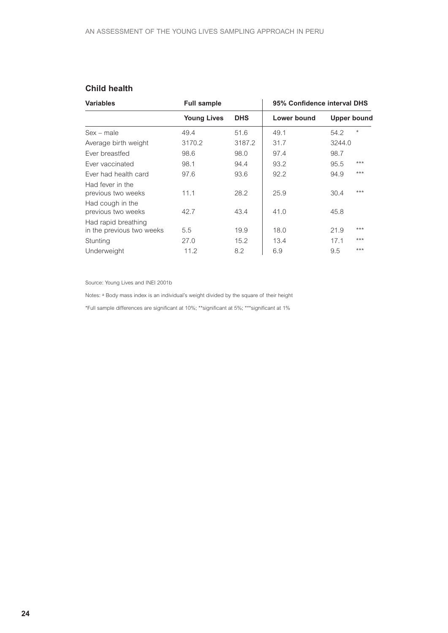### **Child health**

| <b>Variables</b>                                 | <b>Full sample</b> |            | 95% Confidence interval DHS |                    |  |  |
|--------------------------------------------------|--------------------|------------|-----------------------------|--------------------|--|--|
|                                                  | <b>Young Lives</b> | <b>DHS</b> | Lower bound                 | <b>Upper bound</b> |  |  |
| $Sex - male$                                     | 49.4               | 51.6       | 49.1                        | $\star$<br>54.2    |  |  |
| Average birth weight                             | 3170.2             | 3187.2     | 31.7                        | 3244.0             |  |  |
| Ever breastfed                                   | 98.6               | 98.0       | 97.4                        | 98.7               |  |  |
| Ever vaccinated                                  | 98.1               | 94.4       | 93.2                        | ***<br>95.5        |  |  |
| Ever had health card                             | 97.6               | 93.6       | 92.2                        | ***<br>94.9        |  |  |
| Had fever in the<br>previous two weeks           | 11.1               | 28.2       | 25.9                        | $***$<br>30.4      |  |  |
| Had cough in the<br>previous two weeks           | 42.7               | 43.4       | 41.0                        | 45.8               |  |  |
| Had rapid breathing<br>in the previous two weeks | 5.5                | 19.9       | 18.0                        | ***<br>21.9        |  |  |
| Stunting                                         | 27.0               | 15.2       | 13.4                        | ***<br>17.1        |  |  |
| Underweight                                      | 11.2               | 8.2        | 6.9                         | ***<br>9.5         |  |  |

Source: Young Lives and INEI 2001b

Notes: <sup>a</sup> Body mass index is an individual's weight divided by the square of their height

\*Full sample differences are significant at 10%; \*\*significant at 5%; \*\*\*significant at 1%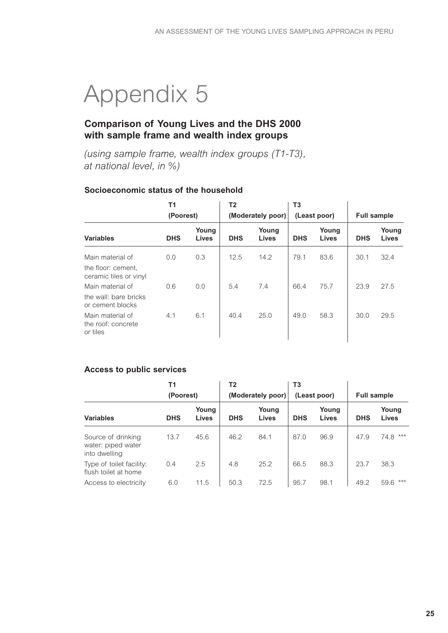# **6.** Appendix 5

### **Comparison of Young Lives and the DHS 2000 with sample frame and wealth index groups**

*(using sample frame, wealth index groups (T1-T3), at national level, in %)*

#### **Socioeconomic status of the household**

|                                                    | T <sub>1</sub> |                       | T2         |                       | T <sub>3</sub> |                       |                    |                       |
|----------------------------------------------------|----------------|-----------------------|------------|-----------------------|----------------|-----------------------|--------------------|-----------------------|
|                                                    | (Poorest)      |                       |            | (Moderately poor)     |                | (Least poor)          | <b>Full sample</b> |                       |
| <b>Variables</b>                                   | <b>DHS</b>     | Young<br><b>Lives</b> | <b>DHS</b> | Young<br><b>Lives</b> | <b>DHS</b>     | Young<br><b>Lives</b> | <b>DHS</b>         | Young<br><b>Lives</b> |
| Main material of                                   | 0.0            | 0.3                   | 12.5       | 14.2                  | 79.1           | 83.6                  | 30.1               | 32.4                  |
| the floor: cement,<br>ceramic tiles or vinyl       |                |                       |            |                       |                |                       |                    |                       |
| Main material of                                   | 0.6            | 0.0                   | 5.4        | 7.4                   | 66.4           | 75.7                  | 23.9               | 27.5                  |
| the wall: bare bricks<br>or cement blocks          |                |                       |            |                       |                |                       |                    |                       |
| Main material of<br>the roof: concrete<br>or tiles | 4.1            | 6.1                   | 40.4       | 25.0                  | 49.0           | 58.3                  | 30.0               | 29.5                  |

#### **Access to public services**

|                                                           | Τ1<br>(Poorest) |                | Τ2         | (Moderately poor) | T3<br>(Least poor) |                | <b>Full sample</b> |                       |
|-----------------------------------------------------------|-----------------|----------------|------------|-------------------|--------------------|----------------|--------------------|-----------------------|
| <b>Variables</b>                                          | <b>DHS</b>      | Young<br>Lives | <b>DHS</b> | Young<br>Lives    | <b>DHS</b>         | Young<br>Lives | <b>DHS</b>         | Young<br><b>Lives</b> |
| Source of drinking<br>water: piped water<br>into dwelling | 13.7            | 45.6           | 46.2       | 84.1              | 87.0               | 96.9           | 47.9               | $***$<br>74.8         |
| Type of toilet facility:<br>flush toilet at home          | 0.4             | 2.5            | 4.8        | 25.2              | 66.5               | 88.3           | 23.7               | 38.3                  |
| Access to electricity                                     | 6.0             | 11.5           | 50.3       | 72.5              | 95.7               | 98.1           | 49.2               | $***$<br>59.6         |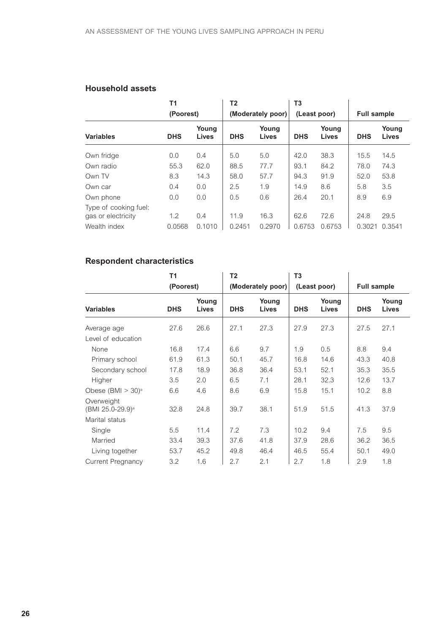#### **Household assets**

|                                             | <b>T1</b>  |                | Τ2         |                   | T3           |                |                    |                       |
|---------------------------------------------|------------|----------------|------------|-------------------|--------------|----------------|--------------------|-----------------------|
|                                             | (Poorest)  |                |            | (Moderately poor) | (Least poor) |                | <b>Full sample</b> |                       |
| <b>Variables</b>                            | <b>DHS</b> | Young<br>Lives | <b>DHS</b> | Young<br>Lives    | <b>DHS</b>   | Young<br>Lives | <b>DHS</b>         | Young<br><b>Lives</b> |
| Own fridge                                  | 0.0        | 0.4            | 5.0        | 5.0               | 42.0         | 38.3           | 15.5               | 14.5                  |
| Own radio                                   | 55.3       | 62.0           | 88.5       | 77.7              | 93.1         | 84.2           | 78.0               | 74.3                  |
| Own TV                                      | 8.3        | 14.3           | 58.0       | 57.7              | 94.3         | 91.9           | 52.0               | 53.8                  |
| Own car                                     | 0.4        | 0.0            | 2.5        | 1.9               | 14.9         | 8.6            | 5.8                | 3.5                   |
| Own phone                                   | 0.0        | 0.0            | 0.5        | 0.6               | 26.4         | 20.1           | 8.9                | 6.9                   |
| Type of cooking fuel:<br>gas or electricity | 1.2        | 0.4            | 11.9       | 16.3              | 62.6         | 72.6           | 24.8               | 29.5                  |
| Wealth index                                | 0.0568     | 0.1010         | 0.2451     | 0.2970            | 0.6753       | 0.6753         | 0.3021             | 0.3541                |

## **Respondent characteristics**

|                                            | <b>T1</b>  |                       | Τ2         |                   | T3         |                       |            |                       |
|--------------------------------------------|------------|-----------------------|------------|-------------------|------------|-----------------------|------------|-----------------------|
|                                            | (Poorest)  |                       |            | (Moderately poor) |            | (Least poor)          |            | <b>Full sample</b>    |
| <b>Variables</b>                           | <b>DHS</b> | Young<br><b>Lives</b> | <b>DHS</b> | Young<br>Lives    | <b>DHS</b> | Young<br><b>Lives</b> | <b>DHS</b> | Young<br><b>Lives</b> |
| Average age                                | 27.6       | 26.6                  | 27.1       | 27.3              | 27.9       | 27.3                  | 27.5       | 27.1                  |
| Level of education                         |            |                       |            |                   |            |                       |            |                       |
| None                                       | 16.8       | 17.4                  | 6.6        | 9.7               | 1.9        | 0.5                   | 8.8        | 9.4                   |
| Primary school                             | 61.9       | 61.3                  | 50.1       | 45.7              | 16.8       | 14.6                  | 43.3       | 40.8                  |
| Secondary school                           | 17.8       | 18.9                  | 36.8       | 36.4              | 53.1       | 52.1                  | 35.3       | 35.5                  |
| Higher                                     | 3.5        | 2.0                   | 6.5        | 7.1               | 28.1       | 32.3                  | 12.6       | 13.7                  |
| Obese $(BMI > 30)^a$                       | 6.6        | 4.6                   | 8.6        | 6.9               | 15.8       | 15.1                  | 10.2       | 8.8                   |
| Overweight<br>(BMI 25.0-29.9) <sup>a</sup> | 32.8       | 24.8                  | 39.7       | 38.1              | 51.9       | 51.5                  | 41.3       | 37.9                  |
| Marital status                             |            |                       |            |                   |            |                       |            |                       |
| Single                                     | 5.5        | 11.4                  | 7.2        | 7.3               | 10.2       | 9.4                   | 7.5        | 9.5                   |
| Married                                    | 33.4       | 39.3                  | 37.6       | 41.8              | 37.9       | 28.6                  | 36.2       | 36.5                  |
| Living together                            | 53.7       | 45.2                  | 49.8       | 46.4              | 46.5       | 55.4                  | 50.1       | 49.0                  |
| <b>Current Pregnancy</b>                   | 3.2        | 1.6                   | 2.7        | 2.1               | 2.7        | 1.8                   | 2.9        | 1.8                   |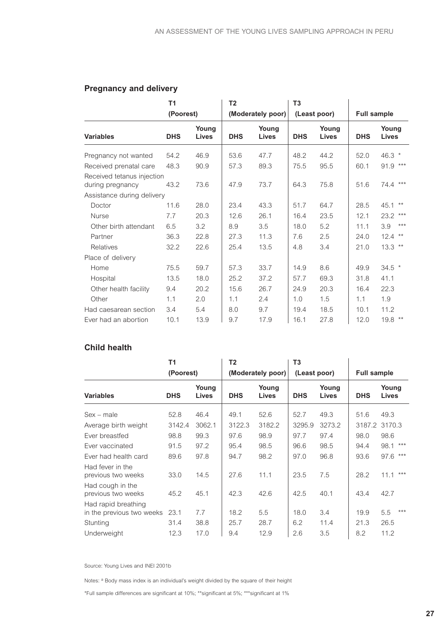|                                                | <b>T1</b>  |                | T <sub>2</sub> |                       | T <sub>3</sub> |                       |            |                    |
|------------------------------------------------|------------|----------------|----------------|-----------------------|----------------|-----------------------|------------|--------------------|
|                                                | (Poorest)  |                |                | (Moderately poor)     |                | (Least poor)          |            | <b>Full sample</b> |
| <b>Variables</b>                               | <b>DHS</b> | Young<br>Lives | <b>DHS</b>     | Young<br><b>Lives</b> | <b>DHS</b>     | Young<br><b>Lives</b> | <b>DHS</b> | Young<br>Lives     |
| Pregnancy not wanted                           | 54.2       | 46.9           | 53.6           | 47.7                  | 48.2           | 44.2                  | 52.0       | 46.3 *             |
| Received prenatal care                         | 48.3       | 90.9           | 57.3           | 89.3                  | 75.5           | 95.5                  | 60.1       | 91.9 ***           |
| Received tetanus injection<br>during pregnancy | 43.2       | 73.6           | 47.9           | 73.7                  | 64.3           | 75.8                  | 51.6       | 74.4 ***           |
| Assistance during delivery                     |            |                |                |                       |                |                       |            |                    |
| Doctor                                         | 11.6       | 28.0           | 23.4           | 43.3                  | 51.7           | 64.7                  | 28.5       | $***$<br>45.1      |
| <b>Nurse</b>                                   | 7.7        | 20.3           | 12.6           | 26.1                  | 16.4           | 23.5                  | 12.1       | $***$<br>23.2      |
| Other birth attendant                          | 6.5        | 3.2            | 8.9            | 3.5                   | 18.0           | 5.2                   | 11.1       | $***$<br>3.9       |
| Partner                                        | 36.3       | 22.8           | 27.3           | 11.3                  | 7.6            | 2.5                   | 24.0       | $12.4$ **          |
| <b>Relatives</b>                               | 32.2       | 22.6           | 25.4           | 13.5                  | 4.8            | 3.4                   | 21.0       | $13.3$ **          |
| Place of delivery                              |            |                |                |                       |                |                       |            |                    |
| Home                                           | 75.5       | 59.7           | 57.3           | 33.7                  | 14.9           | 8.6                   | 49.9       | $34.5$ *           |
| Hospital                                       | 13.5       | 18.0           | 25.2           | 37.2                  | 57.7           | 69.3                  | 31.8       | 41.1               |
| Other health facility                          | 9.4        | 20.2           | 15.6           | 26.7                  | 24.9           | 20.3                  | 16.4       | 22.3               |
| Other                                          | 1.1        | 2.0            | 1.1            | 2.4                   | 1.0            | 1.5                   | 1.1        | 1.9                |
| Had caesarean section                          | 3.4        | 5.4            | 8.0            | 9.7                   | 19.4           | 18.5                  | 10.1       | 11.2               |
| Ever had an abortion                           | 10.1       | 13.9           | 9.7            | 17.9                  | 16.1           | 27.8                  | 12.0       | $19.8$ **          |

### **Pregnancy and delivery**

#### **Child health**

|                                                  | T1         |                       | Τ2         |                       | T <sub>3</sub> |                |                    |                       |
|--------------------------------------------------|------------|-----------------------|------------|-----------------------|----------------|----------------|--------------------|-----------------------|
|                                                  | (Poorest)  |                       |            | (Moderately poor)     | (Least poor)   |                | <b>Full sample</b> |                       |
| <b>Variables</b>                                 | <b>DHS</b> | Young<br><b>Lives</b> | <b>DHS</b> | Young<br><b>Lives</b> | <b>DHS</b>     | Young<br>Lives | <b>DHS</b>         | Young<br><b>Lives</b> |
| $Sex - male$                                     | 52.8       | 46.4                  | 49.1       | 52.6                  | 52.7           | 49.3           | 51.6               | 49.3                  |
| Average birth weight                             | 3142.4     | 3062.1                | 3122.3     | 3182.2                | 3295.9         | 3273.2         |                    | 3187.2 3170.3         |
| Ever breastfed                                   | 98.8       | 99.3                  | 97.6       | 98.9                  | 97.7           | 97.4           | 98.0               | 98.6                  |
| Ever vaccinated                                  | 91.5       | 97.2                  | 95.4       | 98.5                  | 96.6           | 98.5           | 94.4               | ***<br>98.1           |
| Ever had health card                             | 89.6       | 97.8                  | 94.7       | 98.2                  | 97.0           | 96.8           | 93.6               | ***<br>97.6           |
| Had fever in the<br>previous two weeks           | 33.0       | 14.5                  | 27.6       | 11.1                  | 23.5           | 7.5            | 28.2               | $***$<br>11.1         |
| Had cough in the<br>previous two weeks           | 45.2       | 45.1                  | 42.3       | 42.6                  | 42.5           | 40.1           | 43.4               | 42.7                  |
| Had rapid breathing<br>in the previous two weeks | 23.1       | 7.7                   | 18.2       | 5.5                   | 18.0           | 3.4            | 19.9               | $***$<br>5.5          |
| Stunting                                         | 31.4       | 38.8                  | 25.7       | 28.7                  | 6.2            | 11.4           | 21.3               | 26.5                  |
| Underweight                                      | 12.3       | 17.0                  | 9.4        | 12.9                  | 2.6            | 3.5            | 8.2                | 11.2                  |

Source: Young Lives and INEI 2001b

Notes: <sup>a</sup> Body mass index is an individual's weight divided by the square of their height

\*Full sample differences are significant at 10%; \*\*significant at 5%; \*\*\*significant at 1%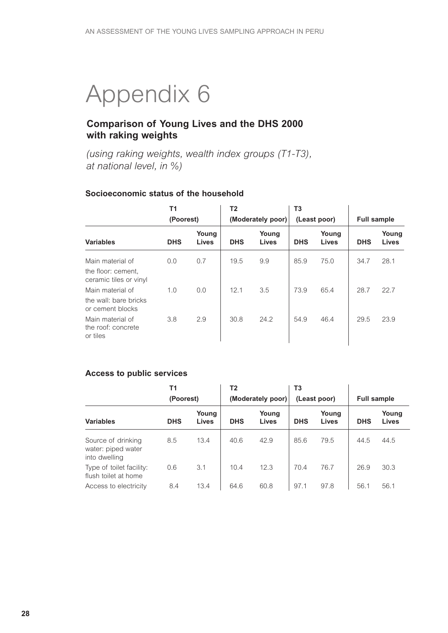## **6.** Appendix 6

## **Comparison of Young Lives and the DHS 2000 with raking weights**

*(using raking weights, wealth index groups (T1-T3), at national level, in %)*

#### **Socioeconomic status of the household**

|                                                                  | <b>T1</b><br>(Poorest) |                       | T <sub>2</sub> | (Moderately poor) | T3         | (Least poor)          | <b>Full sample</b> |                |
|------------------------------------------------------------------|------------------------|-----------------------|----------------|-------------------|------------|-----------------------|--------------------|----------------|
| <b>Variables</b>                                                 | <b>DHS</b>             | Young<br><b>Lives</b> | <b>DHS</b>     | Young<br>Lives    | <b>DHS</b> | Young<br><b>Lives</b> | <b>DHS</b>         | Young<br>Lives |
| Main material of<br>the floor: cement,<br>ceramic tiles or vinyl | 0.0                    | 0.7                   | 19.5           | 9.9               | 85.9       | 75.0                  | 34.7               | 28.1           |
| Main material of<br>the wall: bare bricks<br>or cement blocks    | 1.0                    | 0.0                   | 12.1           | 3.5               | 73.9       | 65.4                  | 28.7               | 22.7           |
| Main material of<br>the roof: concrete<br>or tiles               | 3.8                    | 2.9                   | 30.8           | 24.2              | 54.9       | 46.4                  | 29.5               | 23.9           |

#### **Access to public services**

|                                                           | Τ1         |                | T2         |                   | T <sub>3</sub> |                |                    |                       |
|-----------------------------------------------------------|------------|----------------|------------|-------------------|----------------|----------------|--------------------|-----------------------|
|                                                           | (Poorest)  |                |            | (Moderately poor) |                | (Least poor)   | <b>Full sample</b> |                       |
| <b>Variables</b>                                          | <b>DHS</b> | Young<br>Lives | <b>DHS</b> | Young<br>Lives    | <b>DHS</b>     | Young<br>Lives | <b>DHS</b>         | Young<br><b>Lives</b> |
| Source of drinking<br>water: piped water<br>into dwelling | 8.5        | 13.4           | 40.6       | 42.9              | 85.6           | 79.5           | 44.5               | 44.5                  |
| Type of toilet facility:<br>flush toilet at home          | 0.6        | 3.1            | 10.4       | 12.3              | 70.4           | 76.7           | 26.9               | 30.3                  |
| Access to electricity                                     | 8.4        | 13.4           | 64.6       | 60.8              | 97.1           | 97.8           | 56.1               | 56.1                  |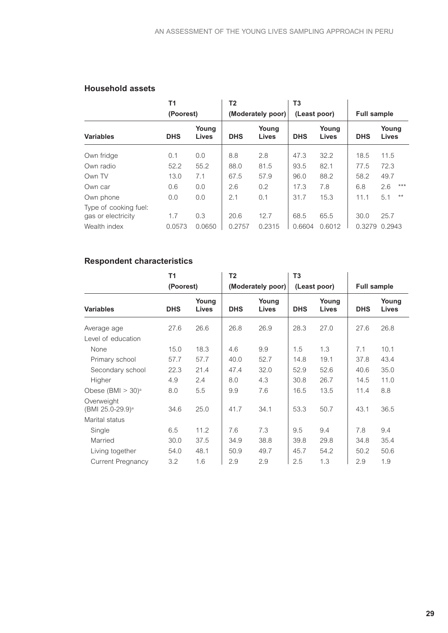#### **Household assets**

|                                             | T1         |                       | T2         |                   | T3         |                |            |                    |
|---------------------------------------------|------------|-----------------------|------------|-------------------|------------|----------------|------------|--------------------|
|                                             | (Poorest)  |                       |            | (Moderately poor) |            | (Least poor)   |            | <b>Full sample</b> |
| <b>Variables</b>                            | <b>DHS</b> | Young<br><b>Lives</b> | <b>DHS</b> | Young<br>Lives    | <b>DHS</b> | Young<br>Lives | <b>DHS</b> | Young<br>Lives     |
| Own fridge                                  | 0.1        | 0.0                   | 8.8        | 2.8               | 47.3       | 32.2           | 18.5       | 11.5               |
| Own radio                                   | 52.2       | 55.2                  | 88.0       | 81.5              | 93.5       | 82.1           | 77.5       | 72.3               |
| Own TV                                      | 13.0       | 7.1                   | 67.5       | 57.9              | 96.0       | 88.2           | 58.2       | 49.7               |
| Own car                                     | 0.6        | 0.0                   | 2.6        | 0.2               | 17.3       | 7.8            | 6.8        | $***$<br>2.6       |
| Own phone                                   | 0.0        | 0.0                   | 2.1        | 0.1               | 31.7       | 15.3           | 11.1       | $***$<br>5.1       |
| Type of cooking fuel:<br>gas or electricity | 1.7        | 0.3                   | 20.6       | 12.7              | 68.5       | 65.5           | 30.0       | 25.7               |
| Wealth index                                | 0.0573     | 0.0650                | 0.2757     | 0.2315            | 0.6604     | 0.6012         | 0.3279     | 0.2943             |

## **Respondent characteristics**

|                                            | T1         |                | T <sub>2</sub> |                   | T <sub>3</sub> |                |                    |                       |
|--------------------------------------------|------------|----------------|----------------|-------------------|----------------|----------------|--------------------|-----------------------|
|                                            | (Poorest)  |                |                | (Moderately poor) |                | (Least poor)   | <b>Full sample</b> |                       |
| <b>Variables</b>                           | <b>DHS</b> | Young<br>Lives | <b>DHS</b>     | Young<br>Lives    | <b>DHS</b>     | Young<br>Lives | <b>DHS</b>         | Young<br><b>Lives</b> |
| Average age                                | 27.6       | 26.6           | 26.8           | 26.9              | 28.3           | 27.0           | 27.6               | 26.8                  |
| Level of education                         |            |                |                |                   |                |                |                    |                       |
| None                                       | 15.0       | 18.3           | 4.6            | 9.9               | 1.5            | 1.3            | 7.1                | 10.1                  |
| Primary school                             | 57.7       | 57.7           | 40.0           | 52.7              | 14.8           | 19.1           | 37.8               | 43.4                  |
| Secondary school                           | 22.3       | 21.4           | 47.4           | 32.0              | 52.9           | 52.6           | 40.6               | 35.0                  |
| Higher                                     | 4.9        | 2.4            | 8.0            | 4.3               | 30.8           | 26.7           | 14.5               | 11.0                  |
| Obese $(BMI > 30)$ <sup>a</sup>            | 8.0        | 5.5            | 9.9            | 7.6               | 16.5           | 13.5           | 11.4               | 8.8                   |
| Overweight<br>(BMI 25.0-29.9) <sup>a</sup> | 34.6       | 25.0           | 41.7           | 34.1              | 53.3           | 50.7           | 43.1               | 36.5                  |
| Marital status                             |            |                |                |                   |                |                |                    |                       |
| Single                                     | 6.5        | 11.2           | 7.6            | 7.3               | 9.5            | 9.4            | 7.8                | 9.4                   |
| Married                                    | 30.0       | 37.5           | 34.9           | 38.8              | 39.8           | 29.8           | 34.8               | 35.4                  |
| Living together                            | 54.0       | 48.1           | 50.9           | 49.7              | 45.7           | 54.2           | 50.2               | 50.6                  |
| <b>Current Pregnancy</b>                   | 3.2        | 1.6            | 2.9            | 2.9               | 2.5            | 1.3            | 2.9                | 1.9                   |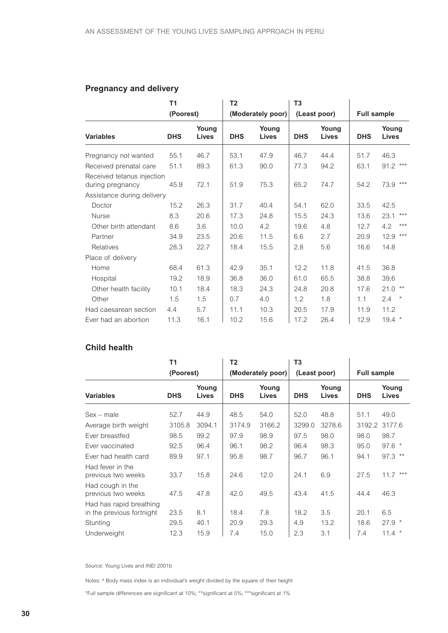## **Pregnancy and delivery**

|                                                | Τ1         |                | T <sub>2</sub> |                       | T <sub>3</sub> |                |            |                             |
|------------------------------------------------|------------|----------------|----------------|-----------------------|----------------|----------------|------------|-----------------------------|
|                                                | (Poorest)  |                |                | (Moderately poor)     |                | (Least poor)   |            | <b>Full sample</b>          |
| <b>Variables</b>                               | <b>DHS</b> | Young<br>Lives | <b>DHS</b>     | Young<br><b>Lives</b> | <b>DHS</b>     | Young<br>Lives | <b>DHS</b> | Young<br><b>Lives</b>       |
| Pregnancy not wanted                           | 55.1       | 46.7           | 53.1           | 47.9                  | 46.7           | 44.4           | 51.7       | 46.3                        |
| Received prenatal care                         | 51.1       | 89.3           | 61.3           | 90.0                  | 77.3           | 94.2           | 63.1       | $91.2***$                   |
| Received tetanus injection<br>during pregnancy | 45.9       | 72.1           | 51.9           | 75.3                  | 65.2           | 74.7           | 54.2       | ***<br>73.9                 |
| Assistance during delivery                     |            |                |                |                       |                |                |            |                             |
| Doctor                                         | 15.2       | 26.3           | 31.7           | 40.4                  | 54.1           | 62.0           | 33.5       | 42.5                        |
| <b>Nurse</b>                                   | 8.3        | 20.6           | 17.3           | 24.8                  | 15.5           | 24.3           | 13.6       | $***$<br>23.1               |
| Other birth attendant                          | 8.6        | 3.6            | 10.0           | 4.2                   | 19.6           | 4.8            | 12.7       | $***$<br>4.2                |
| Partner                                        | 34.9       | 23.5           | 20.6           | 11.5                  | 6.6            | 2.7            | 20.9       | $***$<br>12.9               |
| <b>Relatives</b>                               | 28.3       | 22.7           | 18.4           | 15.5                  | 2.8            | 5.6            | 16.6       | 14.8                        |
| Place of delivery                              |            |                |                |                       |                |                |            |                             |
| Home                                           | 68.4       | 61.3           | 42.9           | 35.1                  | 12.2           | 11.8           | 41.5       | 36.8                        |
| Hospital                                       | 19.2       | 18.9           | 36.8           | 36.0                  | 61.0           | 65.5           | 38.8       | 39.6                        |
| Other health facility                          | 10.1       | 18.4           | 18.3           | 24.3                  | 24.8           | 20.8           | 17.6       | $21.0$ **                   |
| Other                                          | 1.5        | 1.5            | 0.7            | 4.0                   | 1.2            | 1.8            | 1.1        | $2.4^{\circ}$<br>$^{\star}$ |
| Had caesarean section                          | 4.4        | 5.7            | 11.1           | 10.3                  | 20.5           | 17.9           | 11.9       | 11.2                        |
| Ever had an abortion                           | 11.3       | 16.1           | 10.2           | 15.6                  | 17.2           | 26.4           | 12.9       | $19.4$ *                    |

#### **Child health**

|                                                      | Τ1         |                       | T2         |                       | T <sub>3</sub> |                |                    |                       |
|------------------------------------------------------|------------|-----------------------|------------|-----------------------|----------------|----------------|--------------------|-----------------------|
|                                                      | (Poorest)  |                       |            | (Moderately poor)     | (Least poor)   |                | <b>Full sample</b> |                       |
| <b>Variables</b>                                     | <b>DHS</b> | Young<br><b>Lives</b> | <b>DHS</b> | Young<br><b>Lives</b> | <b>DHS</b>     | Young<br>Lives | <b>DHS</b>         | Young<br><b>Lives</b> |
| $Sex - male$                                         | 52.7       | 44.9                  | 48.5       | 54.0                  | 52.0           | 48.8           | 51.1               | 49.0                  |
| Average birth weight                                 | 3105.8     | 3094.1                | 3174.9     | 3166.2                | 3299.0         | 3278.6         |                    | 3192.2 3177.6         |
| Ever breastfed                                       | 98.5       | 99.2                  | 97.9       | 98.9                  | 97.5           | 98.0           | 98.0               | 98.7                  |
| Ever vaccinated                                      | 92.5       | 96.4                  | 96.1       | 98.2                  | 96.4           | 98.3           | 95.0               | $97.6*$               |
| Ever had health card                                 | 89.9       | 97.1                  | 95.8       | 98.7                  | 96.7           | 96.1           | 94.1               | $97.3$ **             |
| Had fever in the<br>previous two weeks               | 33.7       | 15.8                  | 24.6       | 12.0                  | 24.1           | 6.9            | 27.5               | 11.7<br>***           |
| Had cough in the<br>previous two weeks               | 47.5       | 47.8                  | 42.0       | 49.5                  | 43.4           | 41.5           | 44.4               | 46.3                  |
| Had has rapid breathing<br>in the previous fortnight | 23.5       | 8.1                   | 18.4       | 7.8                   | 18.2           | 3.5            | 20.1               | 6.5                   |
| Stunting                                             | 29.5       | 40.1                  | 20.9       | 29.3                  | 4.9            | 13.2           | 18.6               | $27.9*$               |
| Underweight                                          | 12.3       | 15.9                  | 7.4        | 15.0                  | 2.3            | 3.1            | 7.4                | $11.4$ *              |

Source: Young Lives and INEI 2001b

Notes: <sup>a</sup> Body mass index is an individual's weight divided by the square of their height

\*Full sample differences are significant at 10%; \*\*significant at 5%; \*\*\*significant at 1%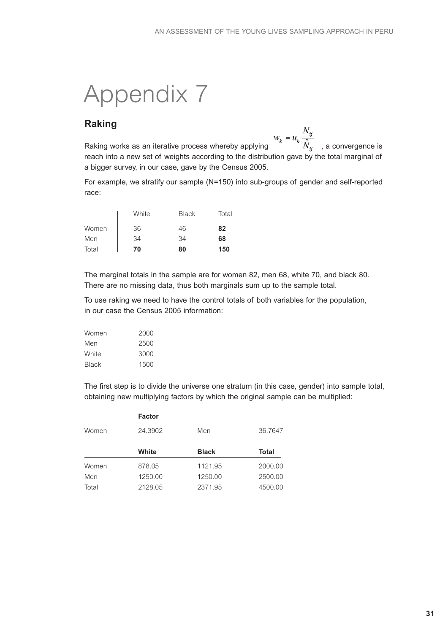# **6.** Appendix 7

## **Raking**

**Raking**<br>Raking works as an iterative process whereby applying  $w_k = u_k \frac{N_{ij}}{\hat{N}_{ij}}$ , a convergence is reach into a new set of weights according to the distribution gave by the total marginal of a bigger survey, in our case, gave by the Census 2005.

For example, we stratify our sample (N=150) into sub-groups of gender and self-reported race:

|       | White | <b>Black</b> | Total |
|-------|-------|--------------|-------|
| Women | 36    | 46           | 82    |
| Men   | 34    | 34           | 68    |
| Total | 70    | 80           | 150   |

The marginal totals in the sample are for women 82, men 68, white 70, and black 80. There are no missing data, thus both marginals sum up to the sample total.

To use raking we need to have the control totals of both variables for the population, in our case the Census 2005 information:

| Women        | 2000 |
|--------------|------|
| Men          | 2500 |
| White        | 3000 |
| <b>Black</b> | 1500 |

The first step is to divide the universe one stratum (in this case, gender) into sample total, obtaining new multiplying factors by which the original sample can be multiplied:

|       | <b>Factor</b> |              |         |
|-------|---------------|--------------|---------|
| Women | 24.3902       | Men          | 36.7647 |
|       | White         | <b>Black</b> | Total   |
| Women | 878.05        | 1121.95      | 2000.00 |
| Men   | 1250.00       | 1250.00      | 2500.00 |
| Total | 2128.05       | 2371.95      | 4500.00 |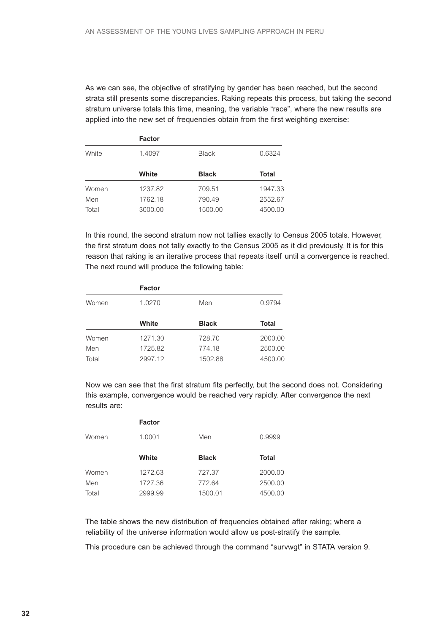As we can see, the objective of stratifying by gender has been reached, but the second strata still presents some discrepancies. Raking repeats this process, but taking the second stratum universe totals this time, meaning, the variable "race", where the new results are applied into the new set of frequencies obtain from the first weighting exercise:

|       | <b>Factor</b> |              |              |
|-------|---------------|--------------|--------------|
| White | 1.4097        | <b>Black</b> | 0.6324       |
|       | White         | <b>Black</b> | <b>Total</b> |
| Women | 1237.82       | 709.51       | 1947.33      |
| Men   | 1762.18       | 790.49       | 2552.67      |
| Total | 3000.00       | 1500.00      | 4500.00      |

In this round, the second stratum now not tallies exactly to Census 2005 totals. However, the first stratum does not tally exactly to the Census 2005 as it did previously. It is for this reason that raking is an iterative process that repeats itself until a convergence is reached. The next round will produce the following table:

|       | <b>Factor</b> |              |              |
|-------|---------------|--------------|--------------|
| Women | 1.0270        | Men          | 0.9794       |
|       | White         | <b>Black</b> | <b>Total</b> |
| Women | 1271.30       | 728.70       | 2000.00      |
| Men   | 1725.82       | 774.18       | 2500.00      |
| Total | 2997.12       | 1502.88      | 4500.00      |

Now we can see that the first stratum fits perfectly, but the second does not. Considering this example, convergence would be reached very rapidly. After convergence the next results are:

|       | <b>Factor</b> |              |              |
|-------|---------------|--------------|--------------|
| Women | 1.0001        | Men          | 0.9999       |
|       | White         | <b>Black</b> | <b>Total</b> |
| Women | 1272.63       | 727.37       | 2000.00      |
| Men   | 1727.36       | 772.64       | 2500.00      |
| Total | 2999.99       | 1500.01      | 4500.00      |

The table shows the new distribution of frequencies obtained after raking; where a reliability of the universe information would allow us post-stratify the sample.

This procedure can be achieved through the command "survwgt" in STATA version 9.